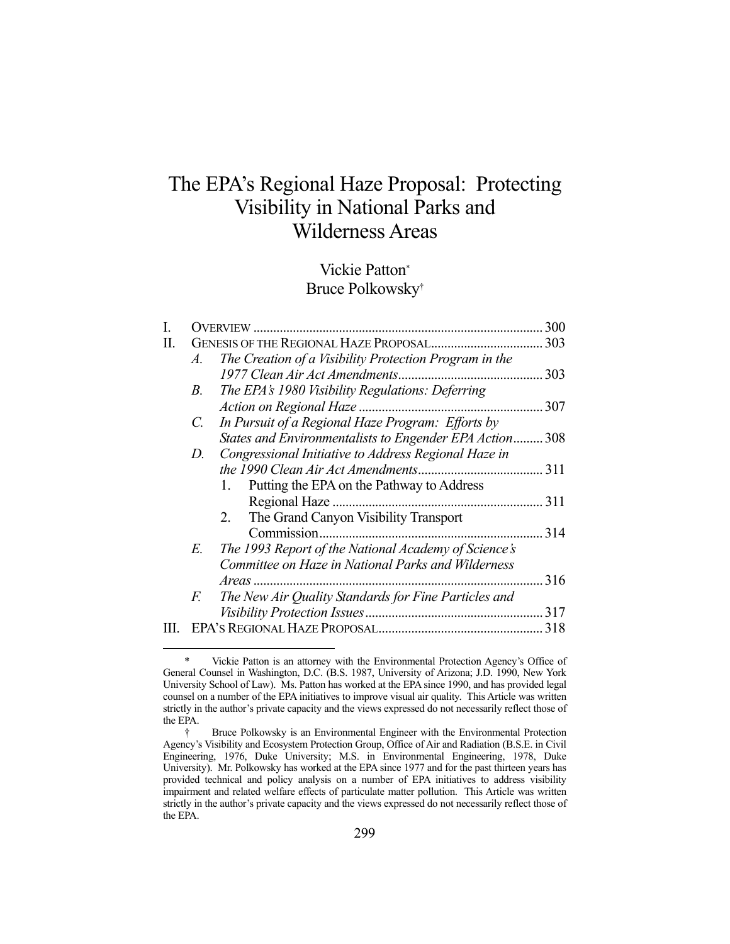# The EPA's Regional Haze Proposal: Protecting Visibility in National Parks and Wilderness Areas

## Vickie Patton\* Bruce Polkowsky†

|             |                                                         | 300                                                                                                                                                                       |
|-------------|---------------------------------------------------------|---------------------------------------------------------------------------------------------------------------------------------------------------------------------------|
|             |                                                         | .303                                                                                                                                                                      |
| A.          | The Creation of a Visibility Protection Program in the  |                                                                                                                                                                           |
|             |                                                         | 303                                                                                                                                                                       |
| В.          |                                                         |                                                                                                                                                                           |
|             |                                                         | 307                                                                                                                                                                       |
| $C_{\cdot}$ |                                                         |                                                                                                                                                                           |
|             | States and Environmentalists to Engender EPA Action 308 |                                                                                                                                                                           |
| D.          | Congressional Initiative to Address Regional Haze in    |                                                                                                                                                                           |
|             |                                                         | 311                                                                                                                                                                       |
|             | Putting the EPA on the Pathway to Address<br>1.         |                                                                                                                                                                           |
|             |                                                         | 311                                                                                                                                                                       |
|             | The Grand Canyon Visibility Transport<br>2.             |                                                                                                                                                                           |
|             | Commission                                              | 314                                                                                                                                                                       |
| E.          | The 1993 Report of the National Academy of Science's    |                                                                                                                                                                           |
|             | Committee on Haze in National Parks and Wilderness      |                                                                                                                                                                           |
|             |                                                         | 316                                                                                                                                                                       |
| F.          |                                                         |                                                                                                                                                                           |
|             |                                                         | 317                                                                                                                                                                       |
|             |                                                         | 318                                                                                                                                                                       |
|             |                                                         | OVERVIEW<br>The EPA's 1980 Visibility Regulations: Deferring<br>In Pursuit of a Regional Haze Program: Efforts by<br>The New Air Quality Standards for Fine Particles and |

Vickie Patton is an attorney with the Environmental Protection Agency's Office of General Counsel in Washington, D.C. (B.S. 1987, University of Arizona; J.D. 1990, New York University School of Law). Ms. Patton has worked at the EPA since 1990, and has provided legal counsel on a number of the EPA initiatives to improve visual air quality. This Article was written strictly in the author's private capacity and the views expressed do not necessarily reflect those of the EPA.

 <sup>†</sup> Bruce Polkowsky is an Environmental Engineer with the Environmental Protection Agency's Visibility and Ecosystem Protection Group, Office of Air and Radiation (B.S.E. in Civil Engineering, 1976, Duke University; M.S. in Environmental Engineering, 1978, Duke University).Mr. Polkowsky has worked at the EPA since 1977 and for the past thirteen years has provided technical and policy analysis on a number of EPA initiatives to address visibility impairment and related welfare effects of particulate matter pollution. This Article was written strictly in the author's private capacity and the views expressed do not necessarily reflect those of the EPA.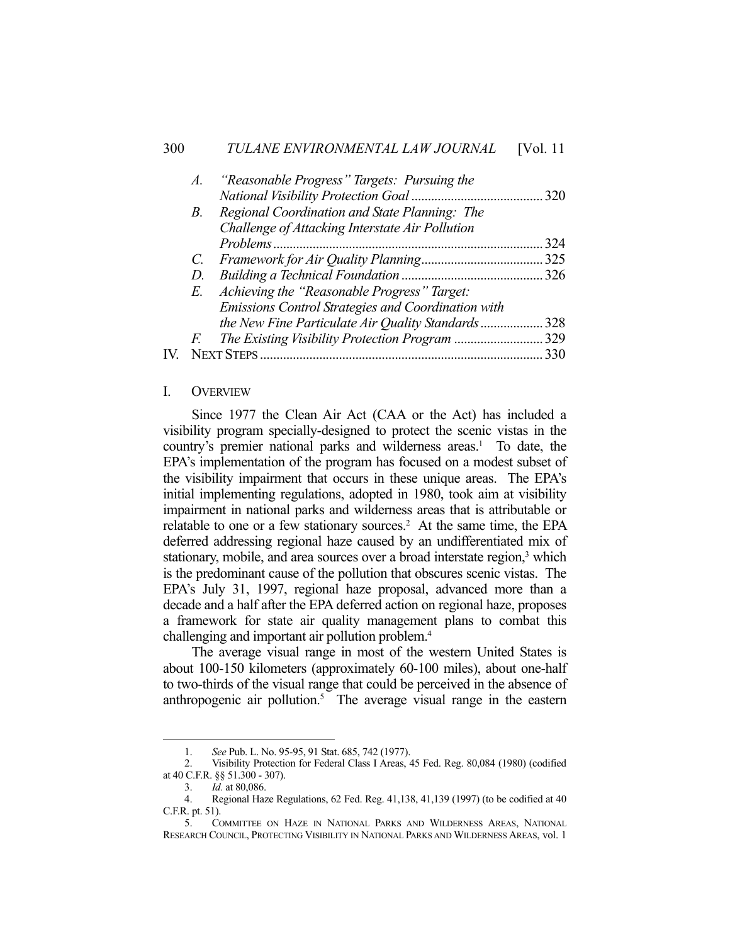| A.          | "Reasonable Progress" Targets: Pursuing the               |     |
|-------------|-----------------------------------------------------------|-----|
|             |                                                           | 320 |
| В.          | Regional Coordination and State Planning: The             |     |
|             | Challenge of Attacking Interstate Air Pollution           |     |
|             | Problems                                                  | 324 |
| $C_{\cdot}$ |                                                           | 325 |
| D.          |                                                           |     |
| E.          | Achieving the "Reasonable Progress" Target:               |     |
|             | <b>Emissions Control Strategies and Coordination with</b> |     |
|             | the New Fine Particulate Air Quality Standards            | 328 |
| F.          |                                                           | 329 |
|             |                                                           | 330 |
|             |                                                           |     |

#### I. OVERVIEW

 Since 1977 the Clean Air Act (CAA or the Act) has included a visibility program specially-designed to protect the scenic vistas in the country's premier national parks and wilderness areas.<sup>1</sup> To date, the EPA's implementation of the program has focused on a modest subset of the visibility impairment that occurs in these unique areas. The EPA's initial implementing regulations, adopted in 1980, took aim at visibility impairment in national parks and wilderness areas that is attributable or relatable to one or a few stationary sources.<sup>2</sup> At the same time, the EPA deferred addressing regional haze caused by an undifferentiated mix of stationary, mobile, and area sources over a broad interstate region,<sup>3</sup> which is the predominant cause of the pollution that obscures scenic vistas. The EPA's July 31, 1997, regional haze proposal, advanced more than a decade and a half after the EPA deferred action on regional haze, proposes a framework for state air quality management plans to combat this challenging and important air pollution problem.4

 The average visual range in most of the western United States is about 100-150 kilometers (approximately 60-100 miles), about one-half to two-thirds of the visual range that could be perceived in the absence of anthropogenic air pollution.<sup>5</sup> The average visual range in the eastern

 <sup>1.</sup> *See* Pub. L. No. 95-95, 91 Stat. 685, 742 (1977).

 <sup>2.</sup> Visibility Protection for Federal Class I Areas, 45 Fed. Reg. 80,084 (1980) (codified at 40 C.F.R. §§ 51.300 - 307).

 <sup>3.</sup> *Id.* at 80,086.

 <sup>4.</sup> Regional Haze Regulations, 62 Fed. Reg. 41,138, 41,139 (1997) (to be codified at 40 C.F.R. pt. 51).

 <sup>5.</sup> COMMITTEE ON HAZE IN NATIONAL PARKS AND WILDERNESS AREAS, NATIONAL RESEARCH COUNCIL, PROTECTING VISIBILITY IN NATIONAL PARKS AND WILDERNESS AREAS, vol. 1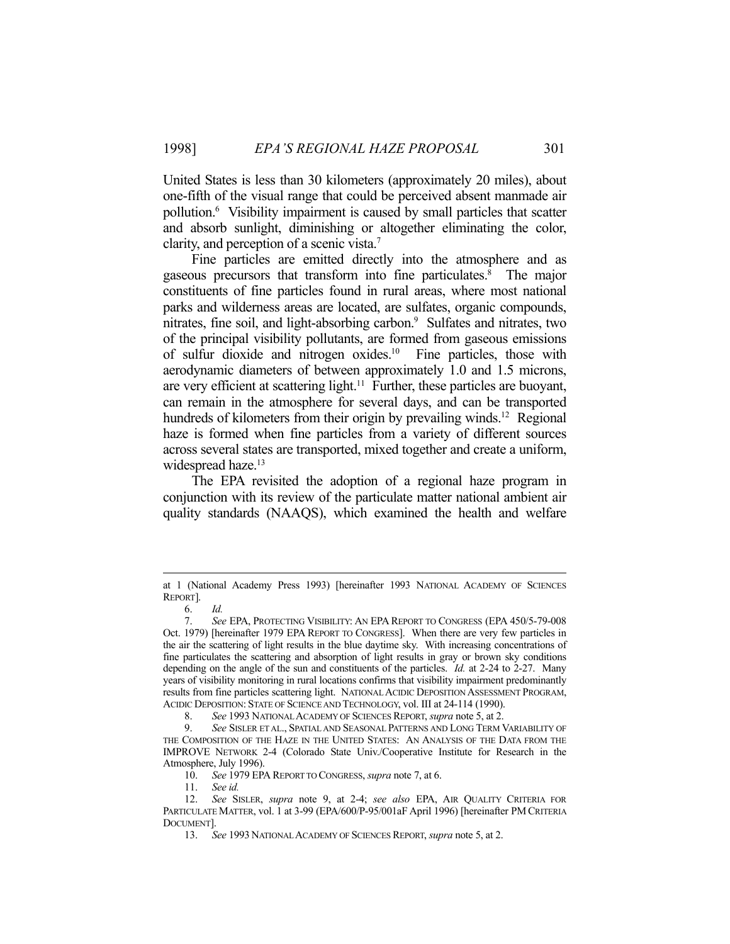United States is less than 30 kilometers (approximately 20 miles), about one-fifth of the visual range that could be perceived absent manmade air pollution.6 Visibility impairment is caused by small particles that scatter and absorb sunlight, diminishing or altogether eliminating the color, clarity, and perception of a scenic vista.7

 Fine particles are emitted directly into the atmosphere and as gaseous precursors that transform into fine particulates.8 The major constituents of fine particles found in rural areas, where most national parks and wilderness areas are located, are sulfates, organic compounds, nitrates, fine soil, and light-absorbing carbon.<sup>9</sup> Sulfates and nitrates, two of the principal visibility pollutants, are formed from gaseous emissions of sulfur dioxide and nitrogen oxides.10 Fine particles, those with aerodynamic diameters of between approximately 1.0 and 1.5 microns, are very efficient at scattering light.<sup>11</sup> Further, these particles are buoyant, can remain in the atmosphere for several days, and can be transported hundreds of kilometers from their origin by prevailing winds.<sup>12</sup> Regional haze is formed when fine particles from a variety of different sources across several states are transported, mixed together and create a uniform, widespread haze.<sup>13</sup>

 The EPA revisited the adoption of a regional haze program in conjunction with its review of the particulate matter national ambient air quality standards (NAAQS), which examined the health and welfare

at 1 (National Academy Press 1993) [hereinafter 1993 NATIONAL ACADEMY OF SCIENCES REPORT].

 <sup>6.</sup> *Id.*

 <sup>7.</sup> *See* EPA, PROTECTING VISIBILITY: AN EPA REPORT TO CONGRESS (EPA 450/5-79-008 Oct. 1979) [hereinafter 1979 EPA REPORT TO CONGRESS]. When there are very few particles in the air the scattering of light results in the blue daytime sky. With increasing concentrations of fine particulates the scattering and absorption of light results in gray or brown sky conditions depending on the angle of the sun and constituents of the particles. *Id.* at 2-24 to 2-27. Many years of visibility monitoring in rural locations confirms that visibility impairment predominantly results from fine particles scattering light. NATIONAL ACIDIC DEPOSITION ASSESSMENT PROGRAM, ACIDIC DEPOSITION: STATE OF SCIENCE AND TECHNOLOGY, vol. III at 24-114 (1990).

 <sup>8.</sup> *See* 1993 NATIONAL ACADEMY OF SCIENCES REPORT, *supra* note 5, at 2.

 <sup>9.</sup> *See* SISLER ET AL., SPATIAL AND SEASONAL PATTERNS AND LONG TERM VARIABILITY OF THE COMPOSITION OF THE HAZE IN THE UNITED STATES: AN ANALYSIS OF THE DATA FROM THE IMPROVE NETWORK 2-4 (Colorado State Univ./Cooperative Institute for Research in the Atmosphere, July 1996).

 <sup>10.</sup> *See* 1979 EPA REPORT TO CONGRESS, *supra* note 7, at 6.

 <sup>11.</sup> *See id.*

 <sup>12.</sup> *See* SISLER, *supra* note 9, at 2-4; *see also* EPA, AIR QUALITY CRITERIA FOR PARTICULATE MATTER, vol. 1 at 3-99 (EPA/600/P-95/001aF April 1996) [hereinafter PM CRITERIA DOCUMENT].

 <sup>13.</sup> *See* 1993 NATIONAL ACADEMY OF SCIENCES REPORT, *supra* note 5, at 2.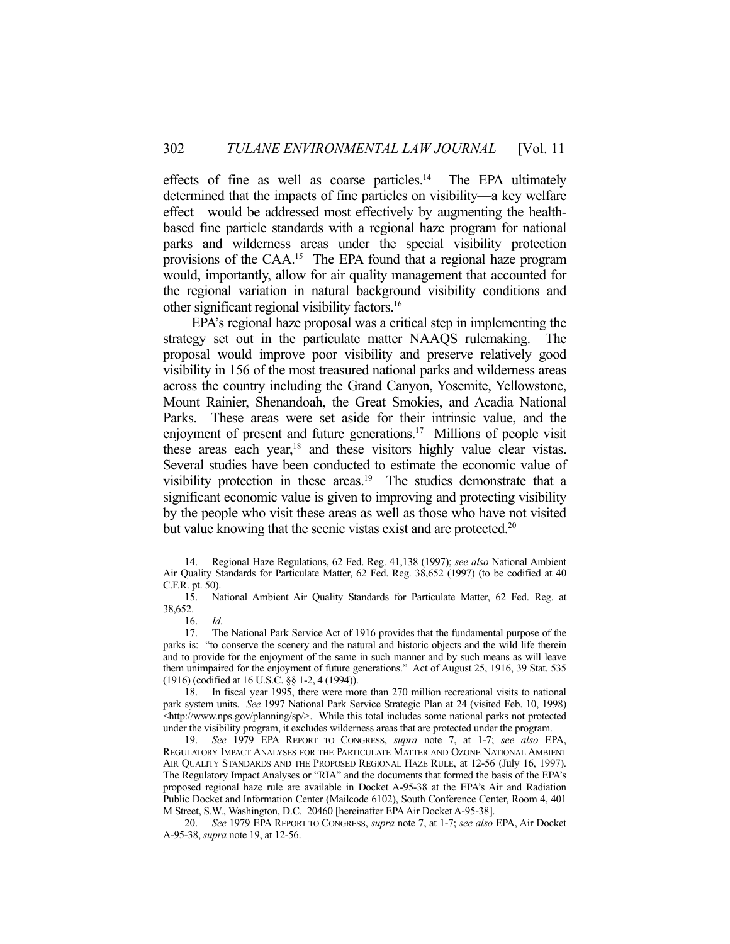effects of fine as well as coarse particles.<sup>14</sup> The EPA ultimately determined that the impacts of fine particles on visibility—a key welfare effect—would be addressed most effectively by augmenting the healthbased fine particle standards with a regional haze program for national parks and wilderness areas under the special visibility protection provisions of the CAA.15 The EPA found that a regional haze program would, importantly, allow for air quality management that accounted for the regional variation in natural background visibility conditions and other significant regional visibility factors.16

 EPA's regional haze proposal was a critical step in implementing the strategy set out in the particulate matter NAAQS rulemaking. The proposal would improve poor visibility and preserve relatively good visibility in 156 of the most treasured national parks and wilderness areas across the country including the Grand Canyon, Yosemite, Yellowstone, Mount Rainier, Shenandoah, the Great Smokies, and Acadia National Parks. These areas were set aside for their intrinsic value, and the enjoyment of present and future generations.<sup>17</sup> Millions of people visit these areas each year,<sup>18</sup> and these visitors highly value clear vistas. Several studies have been conducted to estimate the economic value of visibility protection in these areas.<sup>19</sup> The studies demonstrate that a significant economic value is given to improving and protecting visibility by the people who visit these areas as well as those who have not visited but value knowing that the scenic vistas exist and are protected.<sup>20</sup>

<sup>1</sup>  14. Regional Haze Regulations, 62 Fed. Reg. 41,138 (1997); *see also* National Ambient Air Quality Standards for Particulate Matter, 62 Fed. Reg. 38,652 (1997) (to be codified at 40 C.F.R. pt. 50).

 <sup>15.</sup> National Ambient Air Quality Standards for Particulate Matter, 62 Fed. Reg. at 38,652.

 <sup>16.</sup> *Id.*

 <sup>17.</sup> The National Park Service Act of 1916 provides that the fundamental purpose of the parks is: "to conserve the scenery and the natural and historic objects and the wild life therein and to provide for the enjoyment of the same in such manner and by such means as will leave them unimpaired for the enjoyment of future generations." Act of August 25, 1916, 39 Stat. 535 (1916) (codified at 16 U.S.C. §§ 1-2, 4 (1994)).

 <sup>18.</sup> In fiscal year 1995, there were more than 270 million recreational visits to national park system units. *See* 1997 National Park Service Strategic Plan at 24 (visited Feb. 10, 1998) <http://www.nps.gov/planning/sp/>. While this total includes some national parks not protected under the visibility program, it excludes wilderness areas that are protected under the program.

 <sup>19.</sup> *See* 1979 EPA REPORT TO CONGRESS, *supra* note 7, at 1-7; *see also* EPA, REGULATORY IMPACT ANALYSES FOR THE PARTICULATE MATTER AND OZONE NATIONAL AMBIENT AIR QUALITY STANDARDS AND THE PROPOSED REGIONAL HAZE RULE, at 12-56 (July 16, 1997). The Regulatory Impact Analyses or "RIA" and the documents that formed the basis of the EPA's proposed regional haze rule are available in Docket A-95-38 at the EPA's Air and Radiation Public Docket and Information Center (Mailcode 6102), South Conference Center, Room 4, 401 M Street, S.W., Washington, D.C. 20460 [hereinafter EPA Air Docket A-95-38].

 <sup>20.</sup> *See* 1979 EPA REPORT TO CONGRESS, *supra* note 7, at 1-7; *see also* EPA, Air Docket A-95-38, *supra* note 19, at 12-56.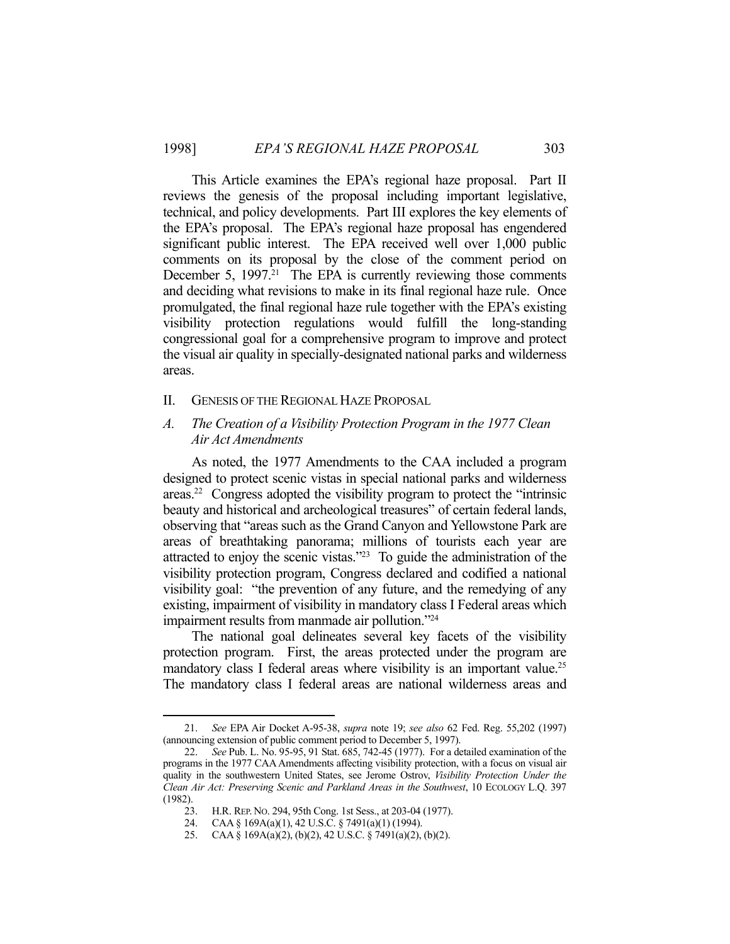This Article examines the EPA's regional haze proposal. Part II reviews the genesis of the proposal including important legislative, technical, and policy developments. Part III explores the key elements of the EPA's proposal. The EPA's regional haze proposal has engendered significant public interest. The EPA received well over 1,000 public comments on its proposal by the close of the comment period on December 5, 1997.<sup>21</sup> The EPA is currently reviewing those comments and deciding what revisions to make in its final regional haze rule. Once promulgated, the final regional haze rule together with the EPA's existing visibility protection regulations would fulfill the long-standing congressional goal for a comprehensive program to improve and protect the visual air quality in specially-designated national parks and wilderness areas.

#### II. GENESIS OF THE REGIONAL HAZE PROPOSAL

#### *A. The Creation of a Visibility Protection Program in the 1977 Clean Air Act Amendments*

 As noted, the 1977 Amendments to the CAA included a program designed to protect scenic vistas in special national parks and wilderness areas.22 Congress adopted the visibility program to protect the "intrinsic beauty and historical and archeological treasures" of certain federal lands, observing that "areas such as the Grand Canyon and Yellowstone Park are areas of breathtaking panorama; millions of tourists each year are attracted to enjoy the scenic vistas."23 To guide the administration of the visibility protection program, Congress declared and codified a national visibility goal: "the prevention of any future, and the remedying of any existing, impairment of visibility in mandatory class I Federal areas which impairment results from manmade air pollution."24

 The national goal delineates several key facets of the visibility protection program. First, the areas protected under the program are mandatory class I federal areas where visibility is an important value.<sup>25</sup> The mandatory class I federal areas are national wilderness areas and

 <sup>21.</sup> *See* EPA Air Docket A-95-38, *supra* note 19; *see also* 62 Fed. Reg. 55,202 (1997) (announcing extension of public comment period to December 5, 1997).

 <sup>22.</sup> *See* Pub. L. No. 95-95, 91 Stat. 685, 742-45 (1977). For a detailed examination of the programs in the 1977 CAA Amendments affecting visibility protection, with a focus on visual air quality in the southwestern United States, see Jerome Ostrov, *Visibility Protection Under the Clean Air Act: Preserving Scenic and Parkland Areas in the Southwest*, 10 ECOLOGY L.Q. 397 (1982).

 <sup>23.</sup> H.R. REP. NO. 294, 95th Cong. 1st Sess., at 203-04 (1977).

 <sup>24.</sup> CAA § 169A(a)(1), 42 U.S.C. § 7491(a)(1) (1994).

 <sup>25.</sup> CAA § 169A(a)(2), (b)(2), 42 U.S.C. § 7491(a)(2), (b)(2).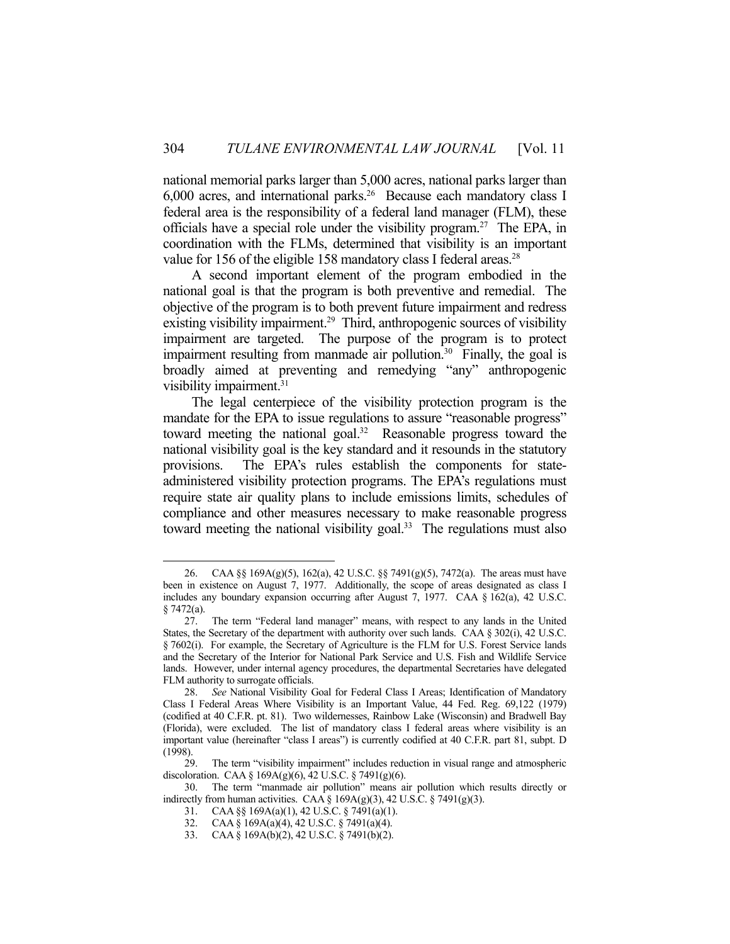national memorial parks larger than 5,000 acres, national parks larger than  $6,000$  acres, and international parks.<sup>26</sup> Because each mandatory class I federal area is the responsibility of a federal land manager (FLM), these officials have a special role under the visibility program.27 The EPA, in coordination with the FLMs, determined that visibility is an important value for 156 of the eligible 158 mandatory class I federal areas.<sup>28</sup>

 A second important element of the program embodied in the national goal is that the program is both preventive and remedial. The objective of the program is to both prevent future impairment and redress existing visibility impairment.<sup>29</sup> Third, anthropogenic sources of visibility impairment are targeted. The purpose of the program is to protect impairment resulting from manmade air pollution.<sup>30</sup> Finally, the goal is broadly aimed at preventing and remedying "any" anthropogenic visibility impairment.<sup>31</sup>

 The legal centerpiece of the visibility protection program is the mandate for the EPA to issue regulations to assure "reasonable progress" toward meeting the national goal. $32$  Reasonable progress toward the national visibility goal is the key standard and it resounds in the statutory provisions. The EPA's rules establish the components for stateadministered visibility protection programs. The EPA's regulations must require state air quality plans to include emissions limits, schedules of compliance and other measures necessary to make reasonable progress toward meeting the national visibility goal.<sup>33</sup> The regulations must also

 <sup>26.</sup> CAA §§ 169A(g)(5), 162(a), 42 U.S.C. §§ 7491(g)(5), 7472(a). The areas must have been in existence on August 7, 1977. Additionally, the scope of areas designated as class I includes any boundary expansion occurring after August 7, 1977. CAA § 162(a), 42 U.S.C. § 7472(a).

 <sup>27.</sup> The term "Federal land manager" means, with respect to any lands in the United States, the Secretary of the department with authority over such lands. CAA  $\S 302(i)$ , 42 U.S.C. § 7602(i). For example, the Secretary of Agriculture is the FLM for U.S. Forest Service lands and the Secretary of the Interior for National Park Service and U.S. Fish and Wildlife Service lands. However, under internal agency procedures, the departmental Secretaries have delegated FLM authority to surrogate officials.

 <sup>28.</sup> *See* National Visibility Goal for Federal Class I Areas; Identification of Mandatory Class I Federal Areas Where Visibility is an Important Value, 44 Fed. Reg. 69,122 (1979) (codified at 40 C.F.R. pt. 81). Two wildernesses, Rainbow Lake (Wisconsin) and Bradwell Bay (Florida), were excluded. The list of mandatory class I federal areas where visibility is an important value (hereinafter "class I areas") is currently codified at 40 C.F.R. part 81, subpt. D (1998).

 <sup>29.</sup> The term "visibility impairment" includes reduction in visual range and atmospheric discoloration. CAA §  $169A(g)(6)$ , 42 U.S.C. § 7491(g)(6).

 <sup>30.</sup> The term "manmade air pollution" means air pollution which results directly or indirectly from human activities. CAA §  $169A(g)(3)$ , 42 U.S.C. § 7491(g)(3).

 <sup>31.</sup> CAA §§ 169A(a)(1), 42 U.S.C. § 7491(a)(1).

 <sup>32.</sup> CAA § 169A(a)(4), 42 U.S.C. § 7491(a)(4).

 <sup>33.</sup> CAA § 169A(b)(2), 42 U.S.C. § 7491(b)(2).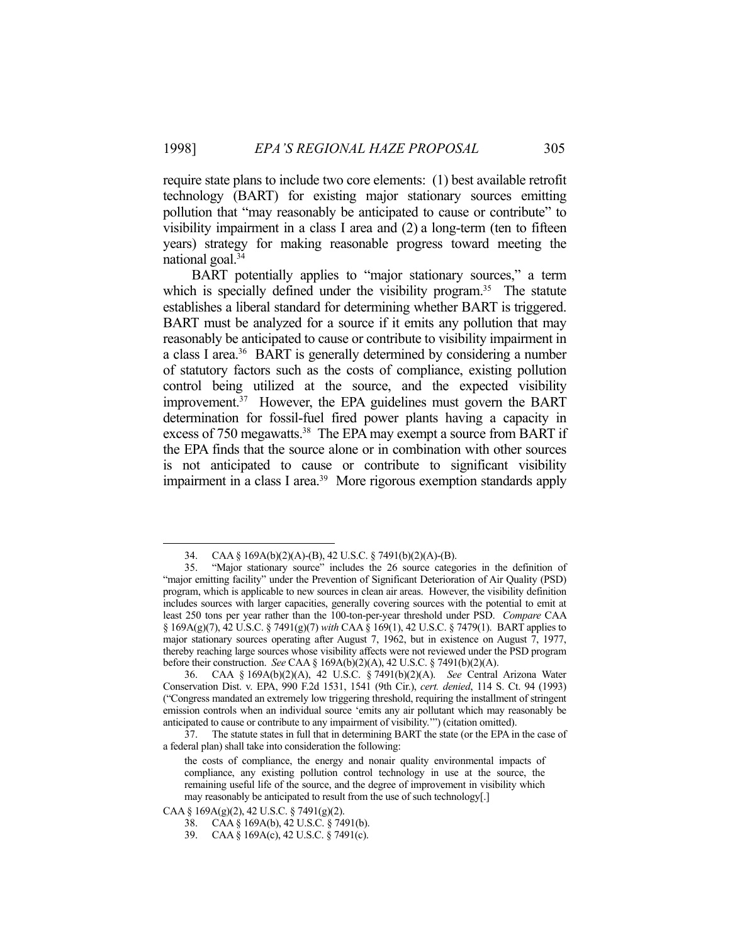require state plans to include two core elements: (1) best available retrofit technology (BART) for existing major stationary sources emitting pollution that "may reasonably be anticipated to cause or contribute" to visibility impairment in a class I area and (2) a long-term (ten to fifteen years) strategy for making reasonable progress toward meeting the national goal.34

BART potentially applies to "major stationary sources," a term which is specially defined under the visibility program.<sup>35</sup> The statute establishes a liberal standard for determining whether BART is triggered. BART must be analyzed for a source if it emits any pollution that may reasonably be anticipated to cause or contribute to visibility impairment in a class I area.36 BART is generally determined by considering a number of statutory factors such as the costs of compliance, existing pollution control being utilized at the source, and the expected visibility improvement.<sup>37</sup> However, the EPA guidelines must govern the BART determination for fossil-fuel fired power plants having a capacity in excess of 750 megawatts.<sup>38</sup> The EPA may exempt a source from BART if the EPA finds that the source alone or in combination with other sources is not anticipated to cause or contribute to significant visibility impairment in a class I area.<sup>39</sup> More rigorous exemption standards apply

 <sup>34.</sup> CAA § 169A(b)(2)(A)-(B), 42 U.S.C. § 7491(b)(2)(A)-(B).

 <sup>35. &</sup>quot;Major stationary source" includes the 26 source categories in the definition of "major emitting facility" under the Prevention of Significant Deterioration of Air Quality (PSD) program, which is applicable to new sources in clean air areas. However, the visibility definition includes sources with larger capacities, generally covering sources with the potential to emit at least 250 tons per year rather than the 100-ton-per-year threshold under PSD. *Compare* CAA § 169A(g)(7), 42 U.S.C. § 7491(g)(7) *with* CAA § 169(1), 42 U.S.C. § 7479(1). BART applies to major stationary sources operating after August 7, 1962, but in existence on August 7, 1977, thereby reaching large sources whose visibility affects were not reviewed under the PSD program before their construction. *See* CAA § 169A(b)(2)(A), 42 U.S.C. § 7491(b)(2)(A).

 <sup>36.</sup> CAA § 169A(b)(2)(A), 42 U.S.C. § 7491(b)(2)(A). *See* Central Arizona Water Conservation Dist. v. EPA, 990 F.2d 1531, 1541 (9th Cir.), *cert. denied*, 114 S. Ct. 94 (1993) ("Congress mandated an extremely low triggering threshold, requiring the installment of stringent emission controls when an individual source 'emits any air pollutant which may reasonably be anticipated to cause or contribute to any impairment of visibility.'") (citation omitted).

 <sup>37.</sup> The statute states in full that in determining BART the state (or the EPA in the case of a federal plan) shall take into consideration the following:

the costs of compliance, the energy and nonair quality environmental impacts of compliance, any existing pollution control technology in use at the source, the remaining useful life of the source, and the degree of improvement in visibility which may reasonably be anticipated to result from the use of such technology[.]

CAA § 169A(g)(2), 42 U.S.C. § 7491(g)(2).

 <sup>38.</sup> CAA § 169A(b), 42 U.S.C. § 7491(b).

 <sup>39.</sup> CAA § 169A(c), 42 U.S.C. § 7491(c).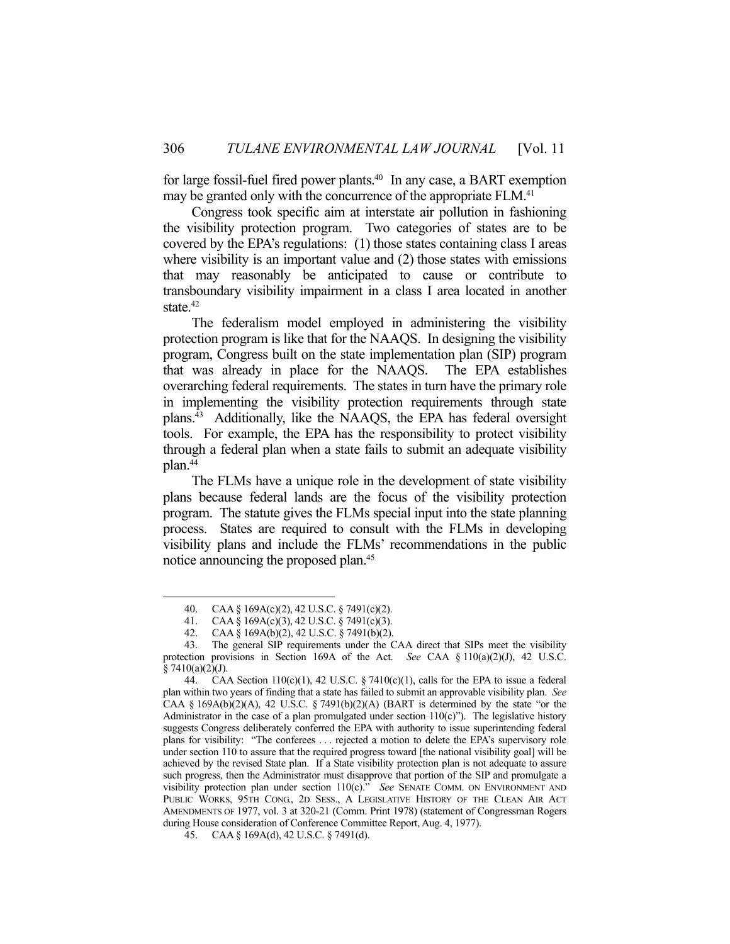for large fossil-fuel fired power plants.<sup>40</sup> In any case, a BART exemption may be granted only with the concurrence of the appropriate FLM.<sup>41</sup>

 Congress took specific aim at interstate air pollution in fashioning the visibility protection program. Two categories of states are to be covered by the EPA's regulations: (1) those states containing class I areas where visibility is an important value and (2) those states with emissions that may reasonably be anticipated to cause or contribute to transboundary visibility impairment in a class I area located in another state.<sup>42</sup>

 The federalism model employed in administering the visibility protection program is like that for the NAAQS. In designing the visibility program, Congress built on the state implementation plan (SIP) program that was already in place for the NAAQS. The EPA establishes overarching federal requirements. The states in turn have the primary role in implementing the visibility protection requirements through state plans.43 Additionally, like the NAAQS, the EPA has federal oversight tools. For example, the EPA has the responsibility to protect visibility through a federal plan when a state fails to submit an adequate visibility plan.44

 The FLMs have a unique role in the development of state visibility plans because federal lands are the focus of the visibility protection program. The statute gives the FLMs special input into the state planning process. States are required to consult with the FLMs in developing visibility plans and include the FLMs' recommendations in the public notice announcing the proposed plan.<sup>45</sup>

 <sup>40.</sup> CAA § 169A(c)(2), 42 U.S.C. § 7491(c)(2).

 <sup>41.</sup> CAA § 169A(c)(3), 42 U.S.C. § 7491(c)(3).

 <sup>42.</sup> CAA § 169A(b)(2), 42 U.S.C. § 7491(b)(2).

 <sup>43.</sup> The general SIP requirements under the CAA direct that SIPs meet the visibility protection provisions in Section 169A of the Act. *See* CAA § 110(a)(2)(J), 42 U.S.C.  $§ 7410(a)(2)(J).$ 

 <sup>44.</sup> CAA Section 110(c)(1), 42 U.S.C. § 7410(c)(1), calls for the EPA to issue a federal plan within two years of finding that a state has failed to submit an approvable visibility plan. *See*  CAA § 169A(b)(2)(A), 42 U.S.C. § 7491(b)(2)(A) (BART is determined by the state "or the Administrator in the case of a plan promulgated under section  $110(c)$ "). The legislative history suggests Congress deliberately conferred the EPA with authority to issue superintending federal plans for visibility: "The conferees . . . rejected a motion to delete the EPA's supervisory role under section 110 to assure that the required progress toward [the national visibility goal] will be achieved by the revised State plan. If a State visibility protection plan is not adequate to assure such progress, then the Administrator must disapprove that portion of the SIP and promulgate a visibility protection plan under section 110(c)." *See* SENATE COMM. ON ENVIRONMENT AND PUBLIC WORKS, 95TH CONG, 2D SESS., A LEGISLATIVE HISTORY OF THE CLEAN AIR ACT AMENDMENTS OF 1977, vol. 3 at 320-21 (Comm. Print 1978) (statement of Congressman Rogers during House consideration of Conference Committee Report, Aug. 4, 1977).

 <sup>45.</sup> CAA § 169A(d), 42 U.S.C. § 7491(d).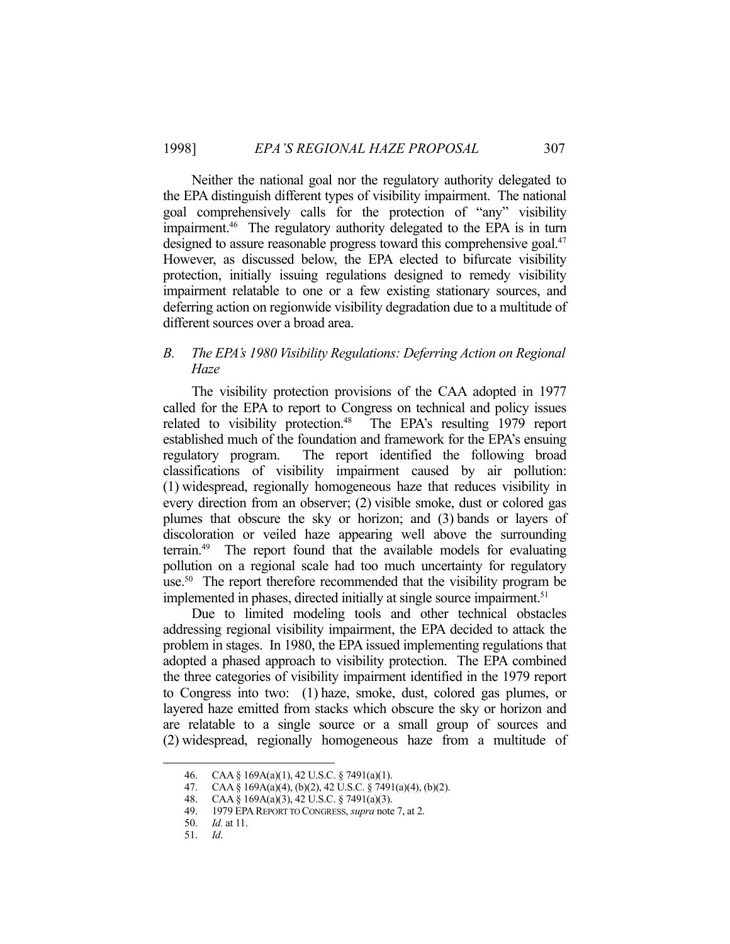Neither the national goal nor the regulatory authority delegated to the EPA distinguish different types of visibility impairment. The national goal comprehensively calls for the protection of "any" visibility impairment.46 The regulatory authority delegated to the EPA is in turn designed to assure reasonable progress toward this comprehensive goal.<sup>47</sup> However, as discussed below, the EPA elected to bifurcate visibility protection, initially issuing regulations designed to remedy visibility impairment relatable to one or a few existing stationary sources, and deferring action on regionwide visibility degradation due to a multitude of different sources over a broad area.

## *B. The EPA's 1980 Visibility Regulations: Deferring Action on Regional Haze*

 The visibility protection provisions of the CAA adopted in 1977 called for the EPA to report to Congress on technical and policy issues related to visibility protection.<sup>48</sup> The EPA's resulting 1979 report established much of the foundation and framework for the EPA's ensuing regulatory program. The report identified the following broad classifications of visibility impairment caused by air pollution: (1) widespread, regionally homogeneous haze that reduces visibility in every direction from an observer; (2) visible smoke, dust or colored gas plumes that obscure the sky or horizon; and (3) bands or layers of discoloration or veiled haze appearing well above the surrounding terrain.49 The report found that the available models for evaluating pollution on a regional scale had too much uncertainty for regulatory use.<sup>50</sup> The report therefore recommended that the visibility program be implemented in phases, directed initially at single source impairment.<sup>51</sup>

 Due to limited modeling tools and other technical obstacles addressing regional visibility impairment, the EPA decided to attack the problem in stages. In 1980, the EPA issued implementing regulations that adopted a phased approach to visibility protection. The EPA combined the three categories of visibility impairment identified in the 1979 report to Congress into two: (1) haze, smoke, dust, colored gas plumes, or layered haze emitted from stacks which obscure the sky or horizon and are relatable to a single source or a small group of sources and (2) widespread, regionally homogeneous haze from a multitude of

 <sup>46.</sup> CAA § 169A(a)(1), 42 U.S.C. § 7491(a)(1).

 <sup>47.</sup> CAA § 169A(a)(4), (b)(2), 42 U.S.C. § 7491(a)(4), (b)(2).

 <sup>48.</sup> CAA § 169A(a)(3), 42 U.S.C. § 7491(a)(3).

 <sup>49. 1979</sup> EPA REPORT TO CONGRESS, *supra* note 7, at 2.

 <sup>50.</sup> *Id.* at 11.

 <sup>51.</sup> *Id*.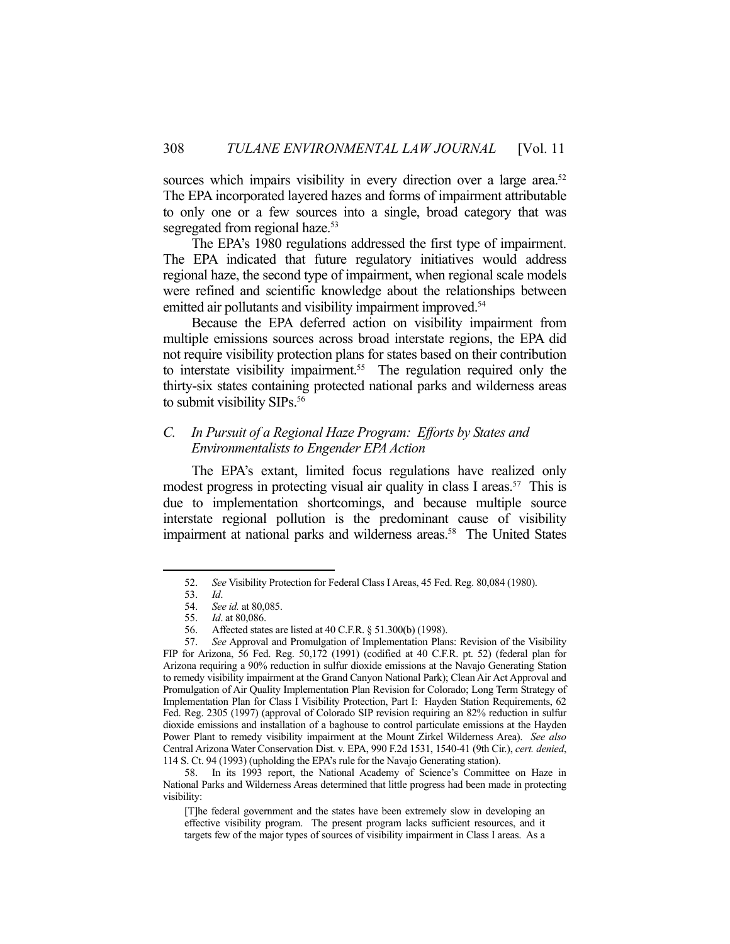sources which impairs visibility in every direction over a large area.<sup>52</sup> The EPA incorporated layered hazes and forms of impairment attributable to only one or a few sources into a single, broad category that was segregated from regional haze.<sup>53</sup>

 The EPA's 1980 regulations addressed the first type of impairment. The EPA indicated that future regulatory initiatives would address regional haze, the second type of impairment, when regional scale models were refined and scientific knowledge about the relationships between emitted air pollutants and visibility impairment improved.<sup>54</sup>

 Because the EPA deferred action on visibility impairment from multiple emissions sources across broad interstate regions, the EPA did not require visibility protection plans for states based on their contribution to interstate visibility impairment.<sup>55</sup> The regulation required only the thirty-six states containing protected national parks and wilderness areas to submit visibility SIPs.<sup>56</sup>

#### *C. In Pursuit of a Regional Haze Program: Efforts by States and Environmentalists to Engender EPA Action*

 The EPA's extant, limited focus regulations have realized only modest progress in protecting visual air quality in class I areas.<sup>57</sup> This is due to implementation shortcomings, and because multiple source interstate regional pollution is the predominant cause of visibility impairment at national parks and wilderness areas.<sup>58</sup> The United States

1

[T]he federal government and the states have been extremely slow in developing an effective visibility program. The present program lacks sufficient resources, and it targets few of the major types of sources of visibility impairment in Class I areas. As a

 <sup>52.</sup> *See* Visibility Protection for Federal Class I Areas, 45 Fed. Reg. 80,084 (1980).

 <sup>53.</sup> *Id*.

 <sup>54.</sup> *See id.* at 80,085.

 <sup>55.</sup> *Id*. at 80,086.

 <sup>56.</sup> Affected states are listed at 40 C.F.R. § 51.300(b) (1998).

 <sup>57.</sup> *See* Approval and Promulgation of Implementation Plans: Revision of the Visibility FIP for Arizona, 56 Fed. Reg. 50,172 (1991) (codified at 40 C.F.R. pt. 52) (federal plan for Arizona requiring a 90% reduction in sulfur dioxide emissions at the Navajo Generating Station to remedy visibility impairment at the Grand Canyon National Park); Clean Air Act Approval and Promulgation of Air Quality Implementation Plan Revision for Colorado; Long Term Strategy of Implementation Plan for Class I Visibility Protection, Part I: Hayden Station Requirements, 62 Fed. Reg. 2305 (1997) (approval of Colorado SIP revision requiring an 82% reduction in sulfur dioxide emissions and installation of a baghouse to control particulate emissions at the Hayden Power Plant to remedy visibility impairment at the Mount Zirkel Wilderness Area). *See also*  Central Arizona Water Conservation Dist. v. EPA, 990 F.2d 1531, 1540-41 (9th Cir.), *cert. denied*, 114 S. Ct. 94 (1993) (upholding the EPA's rule for the Navajo Generating station).

 <sup>58.</sup> In its 1993 report, the National Academy of Science's Committee on Haze in National Parks and Wilderness Areas determined that little progress had been made in protecting visibility: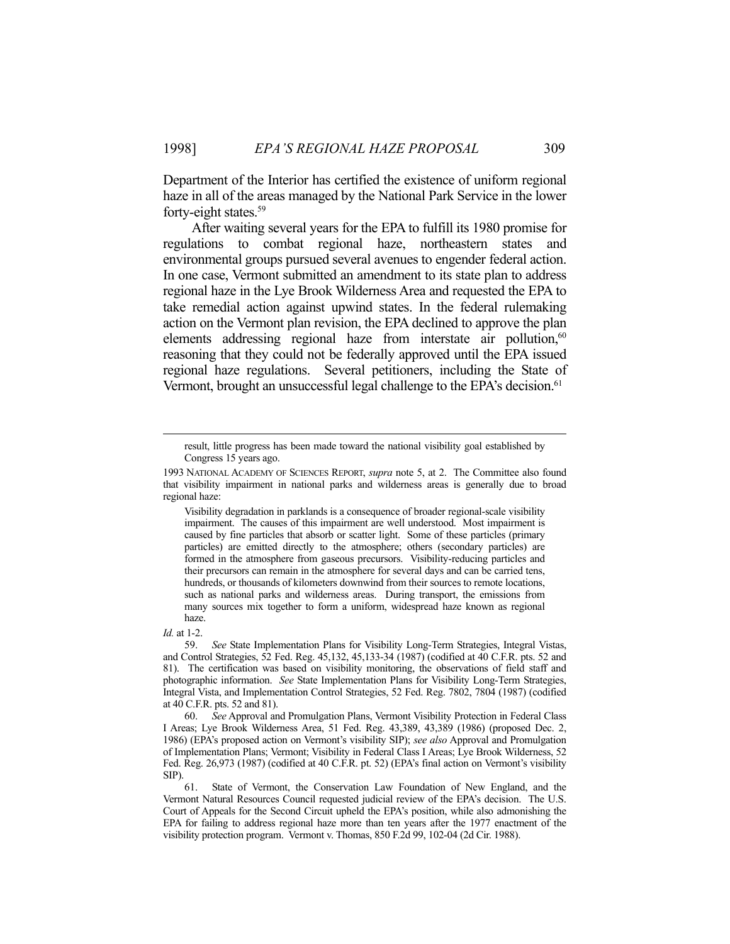Department of the Interior has certified the existence of uniform regional haze in all of the areas managed by the National Park Service in the lower forty-eight states.<sup>59</sup>

 After waiting several years for the EPA to fulfill its 1980 promise for regulations to combat regional haze, northeastern states and environmental groups pursued several avenues to engender federal action. In one case, Vermont submitted an amendment to its state plan to address regional haze in the Lye Brook Wilderness Area and requested the EPA to take remedial action against upwind states. In the federal rulemaking action on the Vermont plan revision, the EPA declined to approve the plan elements addressing regional haze from interstate air pollution,<sup>60</sup> reasoning that they could not be federally approved until the EPA issued regional haze regulations. Several petitioners, including the State of Vermont, brought an unsuccessful legal challenge to the EPA's decision.<sup>61</sup>

Visibility degradation in parklands is a consequence of broader regional-scale visibility impairment. The causes of this impairment are well understood. Most impairment is caused by fine particles that absorb or scatter light. Some of these particles (primary particles) are emitted directly to the atmosphere; others (secondary particles) are formed in the atmosphere from gaseous precursors. Visibility-reducing particles and their precursors can remain in the atmosphere for several days and can be carried tens, hundreds, or thousands of kilometers downwind from their sources to remote locations, such as national parks and wilderness areas. During transport, the emissions from many sources mix together to form a uniform, widespread haze known as regional haze.

*Id.* at 1-2.

result, little progress has been made toward the national visibility goal established by Congress 15 years ago.

<sup>1993</sup> NATIONAL ACADEMY OF SCIENCES REPORT, *supra* note 5, at 2. The Committee also found that visibility impairment in national parks and wilderness areas is generally due to broad regional haze:

 <sup>59.</sup> *See* State Implementation Plans for Visibility Long-Term Strategies, Integral Vistas, and Control Strategies, 52 Fed. Reg. 45,132, 45,133-34 (1987) (codified at 40 C.F.R. pts. 52 and 81). The certification was based on visibility monitoring, the observations of field staff and photographic information. *See* State Implementation Plans for Visibility Long-Term Strategies, Integral Vista, and Implementation Control Strategies, 52 Fed. Reg. 7802, 7804 (1987) (codified at 40 C.F.R. pts. 52 and 81).

 <sup>60.</sup> *See* Approval and Promulgation Plans, Vermont Visibility Protection in Federal Class I Areas; Lye Brook Wilderness Area, 51 Fed. Reg. 43,389, 43,389 (1986) (proposed Dec. 2, 1986) (EPA's proposed action on Vermont's visibility SIP); *see also* Approval and Promulgation of Implementation Plans; Vermont; Visibility in Federal Class I Areas; Lye Brook Wilderness, 52 Fed. Reg. 26,973 (1987) (codified at 40 C.F.R. pt. 52) (EPA's final action on Vermont's visibility SIP).

 <sup>61.</sup> State of Vermont, the Conservation Law Foundation of New England, and the Vermont Natural Resources Council requested judicial review of the EPA's decision. The U.S. Court of Appeals for the Second Circuit upheld the EPA's position, while also admonishing the EPA for failing to address regional haze more than ten years after the 1977 enactment of the visibility protection program. Vermont v. Thomas, 850 F.2d 99, 102-04 (2d Cir. 1988).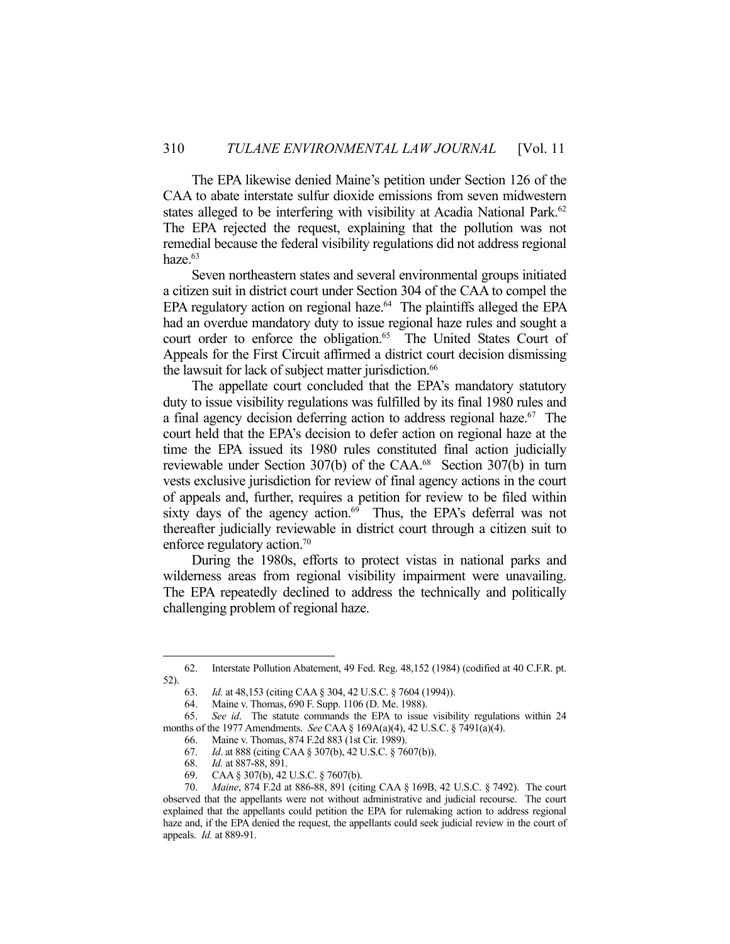The EPA likewise denied Maine's petition under Section 126 of the CAA to abate interstate sulfur dioxide emissions from seven midwestern states alleged to be interfering with visibility at Acadia National Park.<sup>62</sup> The EPA rejected the request, explaining that the pollution was not remedial because the federal visibility regulations did not address regional haze.<sup>63</sup>

 Seven northeastern states and several environmental groups initiated a citizen suit in district court under Section 304 of the CAA to compel the EPA regulatory action on regional haze.<sup>64</sup> The plaintiffs alleged the EPA had an overdue mandatory duty to issue regional haze rules and sought a court order to enforce the obligation.<sup>65</sup> The United States Court of Appeals for the First Circuit affirmed a district court decision dismissing the lawsuit for lack of subject matter jurisdiction.<sup>66</sup>

 The appellate court concluded that the EPA's mandatory statutory duty to issue visibility regulations was fulfilled by its final 1980 rules and a final agency decision deferring action to address regional haze.<sup>67</sup> The court held that the EPA's decision to defer action on regional haze at the time the EPA issued its 1980 rules constituted final action judicially reviewable under Section 307(b) of the CAA.68 Section 307(b) in turn vests exclusive jurisdiction for review of final agency actions in the court of appeals and, further, requires a petition for review to be filed within sixty days of the agency action. $69$  Thus, the EPA's deferral was not thereafter judicially reviewable in district court through a citizen suit to enforce regulatory action.<sup>70</sup>

 During the 1980s, efforts to protect vistas in national parks and wilderness areas from regional visibility impairment were unavailing. The EPA repeatedly declined to address the technically and politically challenging problem of regional haze.

 <sup>62.</sup> Interstate Pollution Abatement, 49 Fed. Reg. 48,152 (1984) (codified at 40 C.F.R. pt. 52).

 <sup>63.</sup> *Id.* at 48,153 (citing CAA § 304, 42 U.S.C. § 7604 (1994)).

 <sup>64.</sup> Maine v. Thomas, 690 F. Supp. 1106 (D. Me. 1988).

 <sup>65.</sup> *See id*. The statute commands the EPA to issue visibility regulations within 24 months of the 1977 Amendments. *See* CAA § 169A(a)(4), 42 U.S.C. § 7491(a)(4).

 <sup>66.</sup> Maine v. Thomas, 874 F.2d 883 (1st Cir. 1989).

 <sup>67.</sup> *Id*. at 888 (citing CAA § 307(b), 42 U.S.C. § 7607(b)).

 <sup>68.</sup> *Id.* at 887-88, 891.

 <sup>69.</sup> CAA § 307(b), 42 U.S.C. § 7607(b).

 <sup>70.</sup> *Maine*, 874 F.2d at 886-88, 891 (citing CAA § 169B, 42 U.S.C. § 7492). The court observed that the appellants were not without administrative and judicial recourse. The court explained that the appellants could petition the EPA for rulemaking action to address regional haze and, if the EPA denied the request, the appellants could seek judicial review in the court of appeals. *Id.* at 889-91.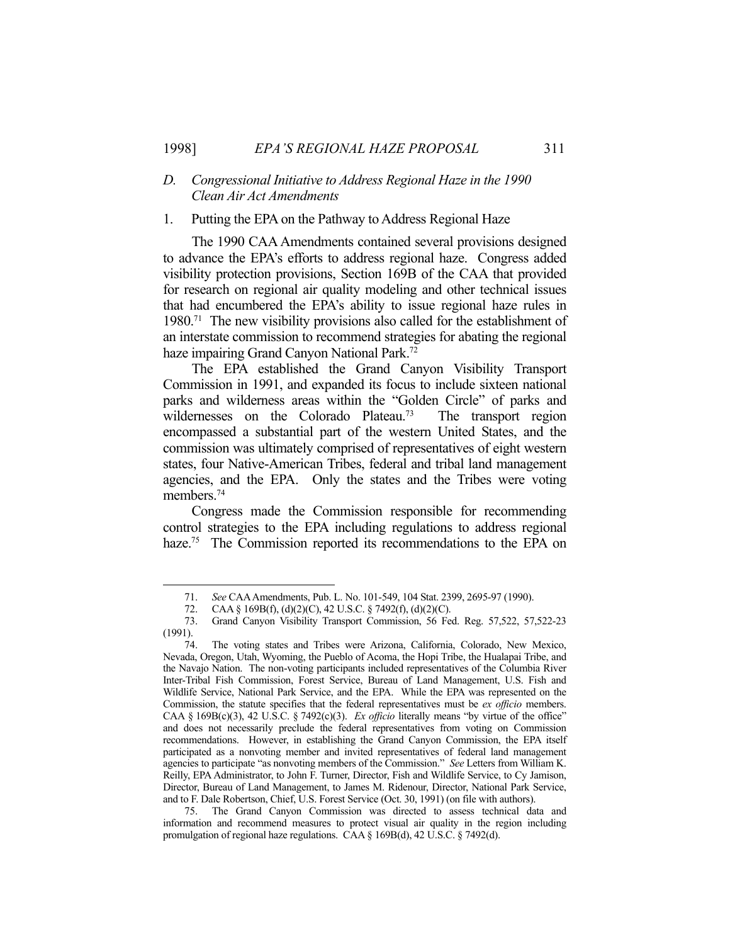#### *D. Congressional Initiative to Address Regional Haze in the 1990 Clean Air Act Amendments*

#### 1. Putting the EPA on the Pathway to Address Regional Haze

 The 1990 CAA Amendments contained several provisions designed to advance the EPA's efforts to address regional haze. Congress added visibility protection provisions, Section 169B of the CAA that provided for research on regional air quality modeling and other technical issues that had encumbered the EPA's ability to issue regional haze rules in 1980.71 The new visibility provisions also called for the establishment of an interstate commission to recommend strategies for abating the regional haze impairing Grand Canyon National Park.<sup>72</sup>

 The EPA established the Grand Canyon Visibility Transport Commission in 1991, and expanded its focus to include sixteen national parks and wilderness areas within the "Golden Circle" of parks and wildernesses on the Colorado Plateau.<sup>73</sup> The transport region encompassed a substantial part of the western United States, and the commission was ultimately comprised of representatives of eight western states, four Native-American Tribes, federal and tribal land management agencies, and the EPA. Only the states and the Tribes were voting members.<sup>74</sup>

 Congress made the Commission responsible for recommending control strategies to the EPA including regulations to address regional haze.<sup>75</sup> The Commission reported its recommendations to the EPA on

 <sup>71.</sup> *See* CAA Amendments, Pub. L. No. 101-549, 104 Stat. 2399, 2695-97 (1990).

 <sup>72.</sup> CAA § 169B(f), (d)(2)(C), 42 U.S.C. § 7492(f), (d)(2)(C).

 <sup>73.</sup> Grand Canyon Visibility Transport Commission, 56 Fed. Reg. 57,522, 57,522-23 (1991).

 <sup>74.</sup> The voting states and Tribes were Arizona, California, Colorado, New Mexico, Nevada, Oregon, Utah, Wyoming, the Pueblo of Acoma, the Hopi Tribe, the Hualapai Tribe, and the Navajo Nation. The non-voting participants included representatives of the Columbia River Inter-Tribal Fish Commission, Forest Service, Bureau of Land Management, U.S. Fish and Wildlife Service, National Park Service, and the EPA. While the EPA was represented on the Commission, the statute specifies that the federal representatives must be *ex officio* members. CAA § 169B(c)(3), 42 U.S.C. § 7492(c)(3). *Ex officio* literally means "by virtue of the office" and does not necessarily preclude the federal representatives from voting on Commission recommendations. However, in establishing the Grand Canyon Commission, the EPA itself participated as a nonvoting member and invited representatives of federal land management agencies to participate "as nonvoting members of the Commission." *See* Letters from William K. Reilly, EPA Administrator, to John F. Turner, Director, Fish and Wildlife Service, to Cy Jamison, Director, Bureau of Land Management, to James M. Ridenour, Director, National Park Service, and to F. Dale Robertson, Chief, U.S. Forest Service (Oct. 30, 1991) (on file with authors).

 <sup>75.</sup> The Grand Canyon Commission was directed to assess technical data and information and recommend measures to protect visual air quality in the region including promulgation of regional haze regulations. CAA § 169B(d), 42 U.S.C. § 7492(d).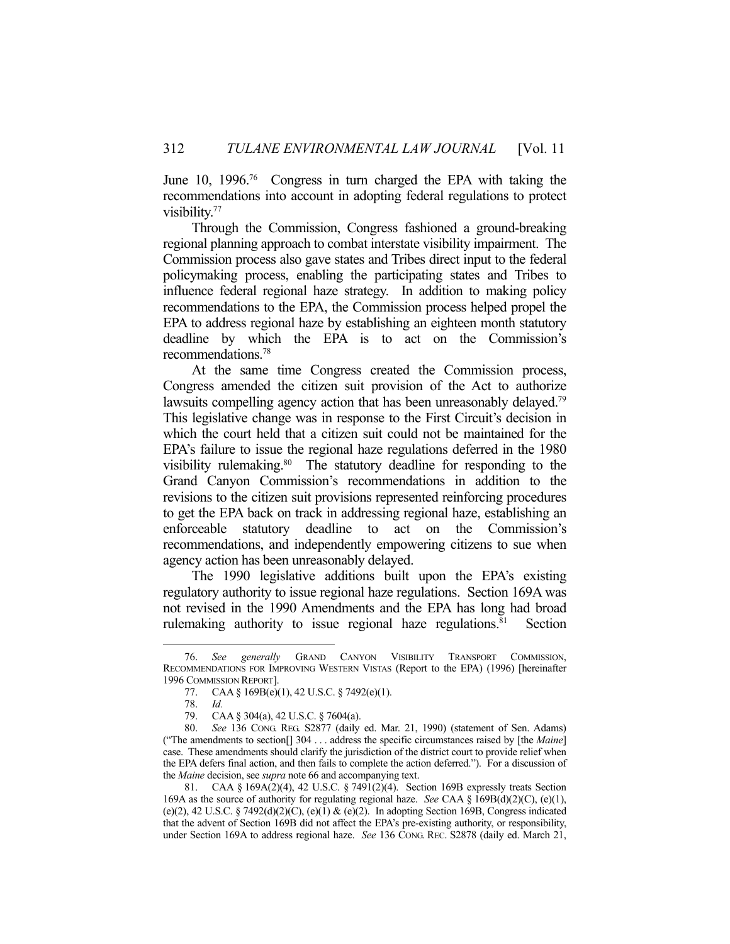June 10, 1996.76 Congress in turn charged the EPA with taking the recommendations into account in adopting federal regulations to protect visibility.77

 Through the Commission, Congress fashioned a ground-breaking regional planning approach to combat interstate visibility impairment. The Commission process also gave states and Tribes direct input to the federal policymaking process, enabling the participating states and Tribes to influence federal regional haze strategy. In addition to making policy recommendations to the EPA, the Commission process helped propel the EPA to address regional haze by establishing an eighteen month statutory deadline by which the EPA is to act on the Commission's recommendations.78

 At the same time Congress created the Commission process, Congress amended the citizen suit provision of the Act to authorize lawsuits compelling agency action that has been unreasonably delayed.<sup>79</sup> This legislative change was in response to the First Circuit's decision in which the court held that a citizen suit could not be maintained for the EPA's failure to issue the regional haze regulations deferred in the 1980 visibility rulemaking.<sup>80</sup> The statutory deadline for responding to the Grand Canyon Commission's recommendations in addition to the revisions to the citizen suit provisions represented reinforcing procedures to get the EPA back on track in addressing regional haze, establishing an enforceable statutory deadline to act on the Commission's recommendations, and independently empowering citizens to sue when agency action has been unreasonably delayed.

 The 1990 legislative additions built upon the EPA's existing regulatory authority to issue regional haze regulations. Section 169A was not revised in the 1990 Amendments and the EPA has long had broad rulemaking authority to issue regional haze regulations. $81$  Section

 <sup>76.</sup> *See generally* GRAND CANYON VISIBILITY TRANSPORT COMMISSION, RECOMMENDATIONS FOR IMPROVING WESTERN VISTAS (Report to the EPA) (1996) [hereinafter 1996 COMMISSION REPORT].

 <sup>77.</sup> CAA § 169B(e)(1), 42 U.S.C. § 7492(e)(1).

 <sup>78.</sup> *Id.*

CAA § 304(a), 42 U.S.C. § 7604(a).

 <sup>80.</sup> *See* 136 CONG. REG. S2877 (daily ed. Mar. 21, 1990) (statement of Sen. Adams) ("The amendments to section[] 304 . . . address the specific circumstances raised by [the *Maine*] case. These amendments should clarify the jurisdiction of the district court to provide relief when the EPA defers final action, and then fails to complete the action deferred."). For a discussion of the *Maine* decision, see *supra* note 66 and accompanying text.

 <sup>81.</sup> CAA § 169A(2)(4), 42 U.S.C. § 7491(2)(4). Section 169B expressly treats Section 169A as the source of authority for regulating regional haze. *See* CAA § 169B(d)(2)(C), (e)(1), (e)(2), 42 U.S.C. § 7492(d)(2)(C), (e)(1) & (e)(2). In adopting Section 169B, Congress indicated that the advent of Section 169B did not affect the EPA's pre-existing authority, or responsibility, under Section 169A to address regional haze. *See* 136 CONG. REC. S2878 (daily ed. March 21,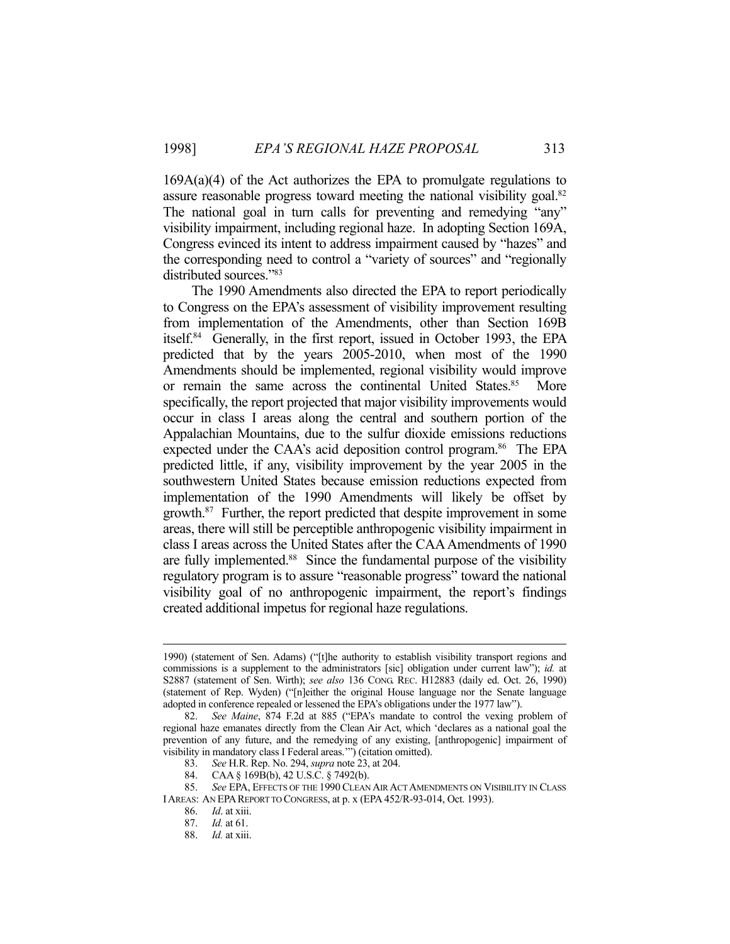$169A(a)(4)$  of the Act authorizes the EPA to promulgate regulations to assure reasonable progress toward meeting the national visibility goal.<sup>82</sup> The national goal in turn calls for preventing and remedying "any" visibility impairment, including regional haze. In adopting Section 169A, Congress evinced its intent to address impairment caused by "hazes" and the corresponding need to control a "variety of sources" and "regionally distributed sources."83

 The 1990 Amendments also directed the EPA to report periodically to Congress on the EPA's assessment of visibility improvement resulting from implementation of the Amendments, other than Section 169B itself.84 Generally, in the first report, issued in October 1993, the EPA predicted that by the years 2005-2010, when most of the 1990 Amendments should be implemented, regional visibility would improve or remain the same across the continental United States.<sup>85</sup> More specifically, the report projected that major visibility improvements would occur in class I areas along the central and southern portion of the Appalachian Mountains, due to the sulfur dioxide emissions reductions expected under the CAA's acid deposition control program.<sup>86</sup> The EPA predicted little, if any, visibility improvement by the year 2005 in the southwestern United States because emission reductions expected from implementation of the 1990 Amendments will likely be offset by growth.87 Further, the report predicted that despite improvement in some areas, there will still be perceptible anthropogenic visibility impairment in class I areas across the United States after the CAA Amendments of 1990 are fully implemented.<sup>88</sup> Since the fundamental purpose of the visibility regulatory program is to assure "reasonable progress" toward the national visibility goal of no anthropogenic impairment, the report's findings created additional impetus for regional haze regulations.

 <sup>1990) (</sup>statement of Sen. Adams) ("[t]he authority to establish visibility transport regions and commissions is a supplement to the administrators [sic] obligation under current law"); *id.* at S2887 (statement of Sen. Wirth); *see also* 136 CONG. REC. H12883 (daily ed. Oct. 26, 1990) (statement of Rep. Wyden) ("[n]either the original House language nor the Senate language adopted in conference repealed or lessened the EPA's obligations under the 1977 law").

 <sup>82.</sup> *See Maine*, 874 F.2d at 885 ("EPA's mandate to control the vexing problem of regional haze emanates directly from the Clean Air Act, which 'declares as a national goal the prevention of any future, and the remedying of any existing, [anthropogenic] impairment of visibility in mandatory class I Federal areas.'") (citation omitted).

 <sup>83.</sup> *See* H.R. Rep. No. 294, *supra* note 23, at 204.

 <sup>84.</sup> CAA § 169B(b), 42 U.S.C. § 7492(b).

 <sup>85.</sup> *See* EPA, EFFECTS OF THE 1990 CLEAN AIR ACT AMENDMENTS ON VISIBILITY IN CLASS IAREAS: AN EPAREPORT TO CONGRESS, at p. x (EPA 452/R-93-014, Oct. 1993).

 <sup>86.</sup> *Id*. at xiii.

 <sup>87.</sup> *Id.* at 61.

 <sup>88.</sup> *Id.* at xiii.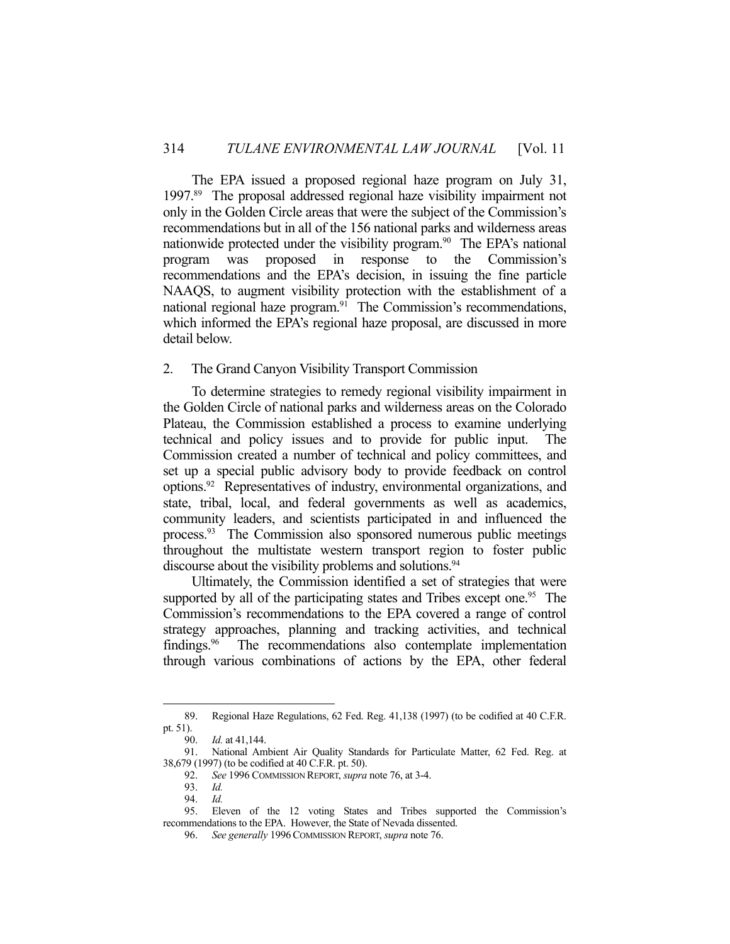The EPA issued a proposed regional haze program on July 31, 1997.89 The proposal addressed regional haze visibility impairment not only in the Golden Circle areas that were the subject of the Commission's recommendations but in all of the 156 national parks and wilderness areas nationwide protected under the visibility program.<sup>90</sup> The EPA's national program was proposed in response to the Commission's recommendations and the EPA's decision, in issuing the fine particle NAAQS, to augment visibility protection with the establishment of a national regional haze program.<sup>91</sup> The Commission's recommendations, which informed the EPA's regional haze proposal, are discussed in more detail below.

#### 2. The Grand Canyon Visibility Transport Commission

 To determine strategies to remedy regional visibility impairment in the Golden Circle of national parks and wilderness areas on the Colorado Plateau, the Commission established a process to examine underlying technical and policy issues and to provide for public input. The Commission created a number of technical and policy committees, and set up a special public advisory body to provide feedback on control options.92 Representatives of industry, environmental organizations, and state, tribal, local, and federal governments as well as academics, community leaders, and scientists participated in and influenced the process.93 The Commission also sponsored numerous public meetings throughout the multistate western transport region to foster public discourse about the visibility problems and solutions.<sup>94</sup>

 Ultimately, the Commission identified a set of strategies that were supported by all of the participating states and Tribes except one.<sup>95</sup> The Commission's recommendations to the EPA covered a range of control strategy approaches, planning and tracking activities, and technical findings.<sup>96</sup> The recommendations also contemplate implementation through various combinations of actions by the EPA, other federal

 <sup>89.</sup> Regional Haze Regulations, 62 Fed. Reg. 41,138 (1997) (to be codified at 40 C.F.R. pt. 51).

 <sup>90.</sup> *Id.* at 41,144.

 <sup>91.</sup> National Ambient Air Quality Standards for Particulate Matter, 62 Fed. Reg. at 38,679 (1997) (to be codified at 40 C.F.R. pt. 50).

 <sup>92.</sup> *See* 1996 COMMISSION REPORT, *supra* note 76, at 3-4.

 <sup>93.</sup> *Id.*

 <sup>94.</sup> *Id.*

<sup>95.</sup> Eleven of the 12 voting States and Tribes supported the Commission's recommendations to the EPA. However, the State of Nevada dissented.

 <sup>96.</sup> *See generally* 1996COMMISSION REPORT, *supra* note 76.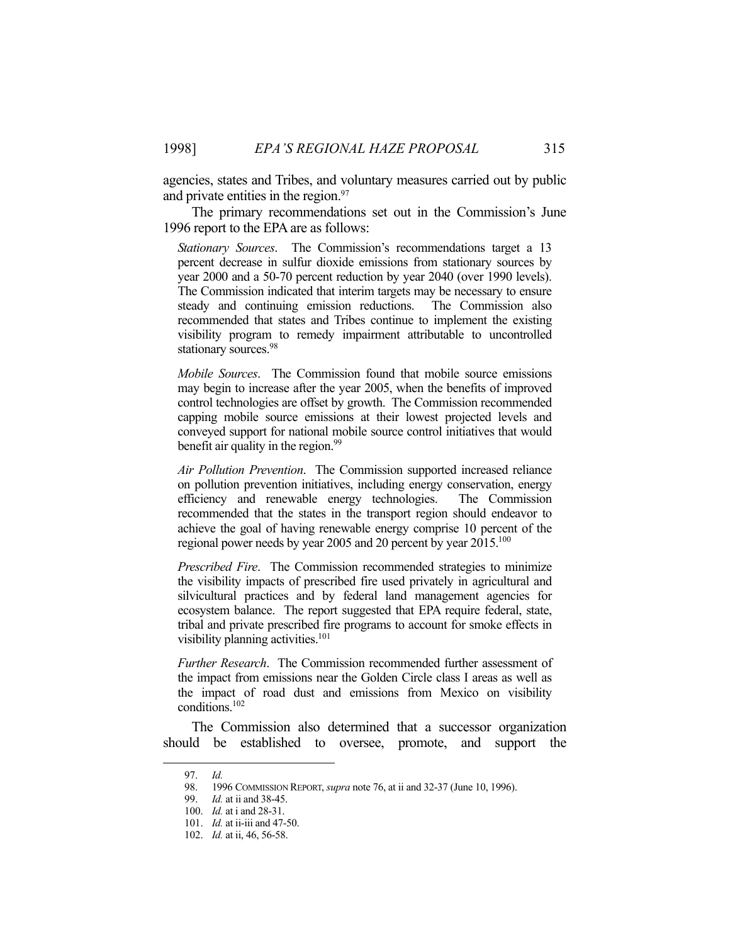agencies, states and Tribes, and voluntary measures carried out by public and private entities in the region.<sup>97</sup>

 The primary recommendations set out in the Commission's June 1996 report to the EPA are as follows:

*Stationary Sources*. The Commission's recommendations target a 13 percent decrease in sulfur dioxide emissions from stationary sources by year 2000 and a 50-70 percent reduction by year 2040 (over 1990 levels). The Commission indicated that interim targets may be necessary to ensure steady and continuing emission reductions. The Commission also recommended that states and Tribes continue to implement the existing visibility program to remedy impairment attributable to uncontrolled stationary sources.<sup>98</sup>

*Mobile Sources*. The Commission found that mobile source emissions may begin to increase after the year 2005, when the benefits of improved control technologies are offset by growth. The Commission recommended capping mobile source emissions at their lowest projected levels and conveyed support for national mobile source control initiatives that would benefit air quality in the region.<sup>99</sup>

*Air Pollution Prevention*. The Commission supported increased reliance on pollution prevention initiatives, including energy conservation, energy efficiency and renewable energy technologies. The Commission recommended that the states in the transport region should endeavor to achieve the goal of having renewable energy comprise 10 percent of the regional power needs by year 2005 and 20 percent by year 2015.100

*Prescribed Fire*. The Commission recommended strategies to minimize the visibility impacts of prescribed fire used privately in agricultural and silvicultural practices and by federal land management agencies for ecosystem balance. The report suggested that EPA require federal, state, tribal and private prescribed fire programs to account for smoke effects in visibility planning activities.<sup>101</sup>

*Further Research*. The Commission recommended further assessment of the impact from emissions near the Golden Circle class I areas as well as the impact of road dust and emissions from Mexico on visibility conditions.102

 The Commission also determined that a successor organization should be established to oversee, promote, and support the

 <sup>97.</sup> *Id.*

 <sup>98. 1996</sup> COMMISSION REPORT, *supra* note 76, at ii and 32-37 (June 10, 1996).

 <sup>99.</sup> *Id.* at ii and 38-45.

 <sup>100.</sup> *Id.* at i and 28-31.

 <sup>101.</sup> *Id.* at ii-iii and 47-50.

 <sup>102.</sup> *Id.* at ii, 46, 56-58.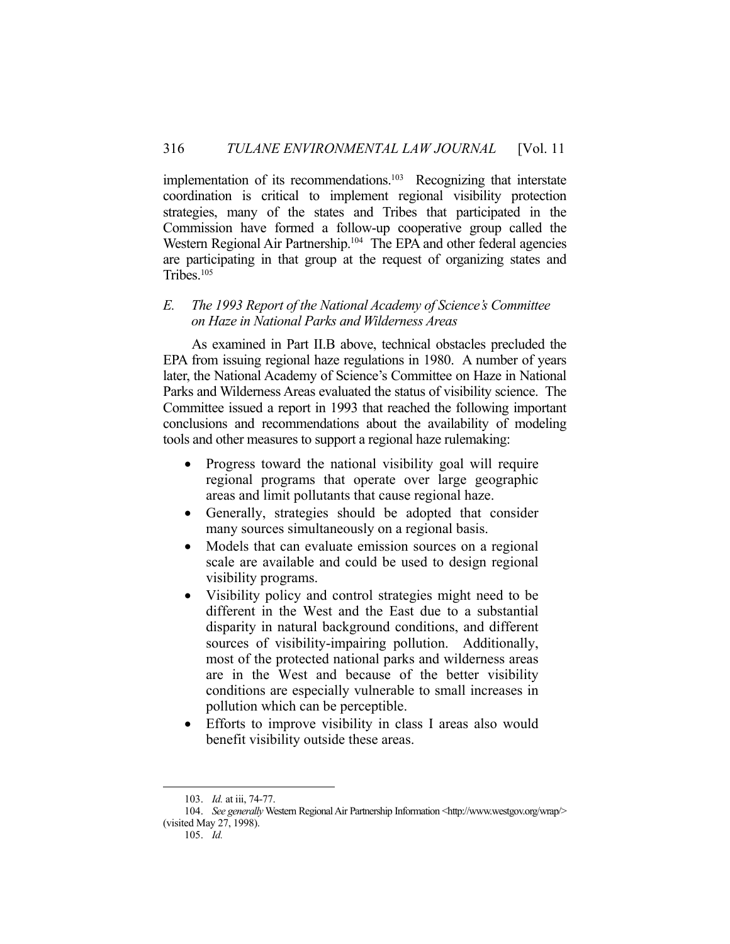implementation of its recommendations.<sup>103</sup> Recognizing that interstate coordination is critical to implement regional visibility protection strategies, many of the states and Tribes that participated in the Commission have formed a follow-up cooperative group called the Western Regional Air Partnership.<sup>104</sup> The EPA and other federal agencies are participating in that group at the request of organizing states and Tribes.105

## *E. The 1993 Report of the National Academy of Science's Committee on Haze in National Parks and Wilderness Areas*

 As examined in Part II.B above, technical obstacles precluded the EPA from issuing regional haze regulations in 1980. A number of years later, the National Academy of Science's Committee on Haze in National Parks and Wilderness Areas evaluated the status of visibility science. The Committee issued a report in 1993 that reached the following important conclusions and recommendations about the availability of modeling tools and other measures to support a regional haze rulemaking:

- Progress toward the national visibility goal will require regional programs that operate over large geographic areas and limit pollutants that cause regional haze.
- Generally, strategies should be adopted that consider many sources simultaneously on a regional basis.
- Models that can evaluate emission sources on a regional scale are available and could be used to design regional visibility programs.
- Visibility policy and control strategies might need to be different in the West and the East due to a substantial disparity in natural background conditions, and different sources of visibility-impairing pollution. Additionally, most of the protected national parks and wilderness areas are in the West and because of the better visibility conditions are especially vulnerable to small increases in pollution which can be perceptible.
- Efforts to improve visibility in class I areas also would benefit visibility outside these areas.

 <sup>103.</sup> *Id.* at iii, 74-77.

<sup>104.</sup> See generally Western Regional Air Partnership Information <http://www.westgov.org/wrap/> (visited May 27, 1998).

 <sup>105.</sup> *Id.*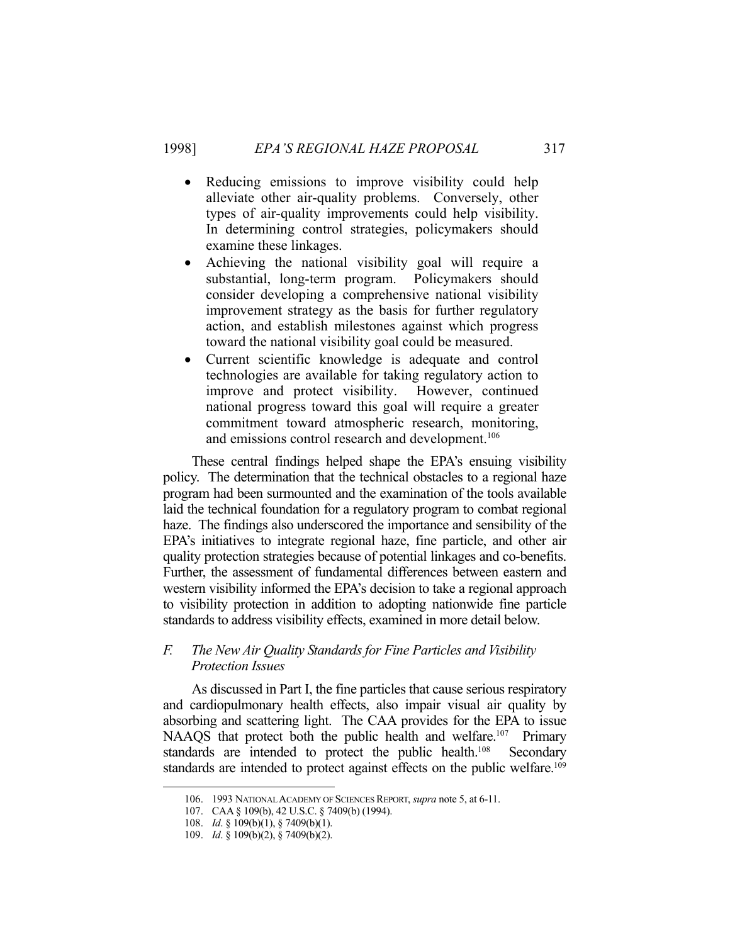- Reducing emissions to improve visibility could help alleviate other air-quality problems. Conversely, other types of air-quality improvements could help visibility. In determining control strategies, policymakers should examine these linkages.
- Achieving the national visibility goal will require a substantial, long-term program. Policymakers should consider developing a comprehensive national visibility improvement strategy as the basis for further regulatory action, and establish milestones against which progress toward the national visibility goal could be measured.
- Current scientific knowledge is adequate and control technologies are available for taking regulatory action to improve and protect visibility. However, continued national progress toward this goal will require a greater commitment toward atmospheric research, monitoring, and emissions control research and development.<sup>106</sup>

 These central findings helped shape the EPA's ensuing visibility policy. The determination that the technical obstacles to a regional haze program had been surmounted and the examination of the tools available laid the technical foundation for a regulatory program to combat regional haze. The findings also underscored the importance and sensibility of the EPA's initiatives to integrate regional haze, fine particle, and other air quality protection strategies because of potential linkages and co-benefits. Further, the assessment of fundamental differences between eastern and western visibility informed the EPA's decision to take a regional approach to visibility protection in addition to adopting nationwide fine particle standards to address visibility effects, examined in more detail below.

## *F. The New Air Quality Standards for Fine Particles and Visibility Protection Issues*

 As discussed in Part I, the fine particles that cause serious respiratory and cardiopulmonary health effects, also impair visual air quality by absorbing and scattering light. The CAA provides for the EPA to issue NAAQS that protect both the public health and welfare.<sup>107</sup> Primary standards are intended to protect the public health.<sup>108</sup> Secondary standards are intended to protect against effects on the public welfare.<sup>109</sup>

 <sup>106. 1993</sup> NATIONAL ACADEMY OF SCIENCES REPORT, *supra* note 5, at 6-11.

 <sup>107.</sup> CAA § 109(b), 42 U.S.C. § 7409(b) (1994).

 <sup>108.</sup> *Id*. § 109(b)(1), § 7409(b)(1).

 <sup>109.</sup> *Id*. § 109(b)(2), § 7409(b)(2).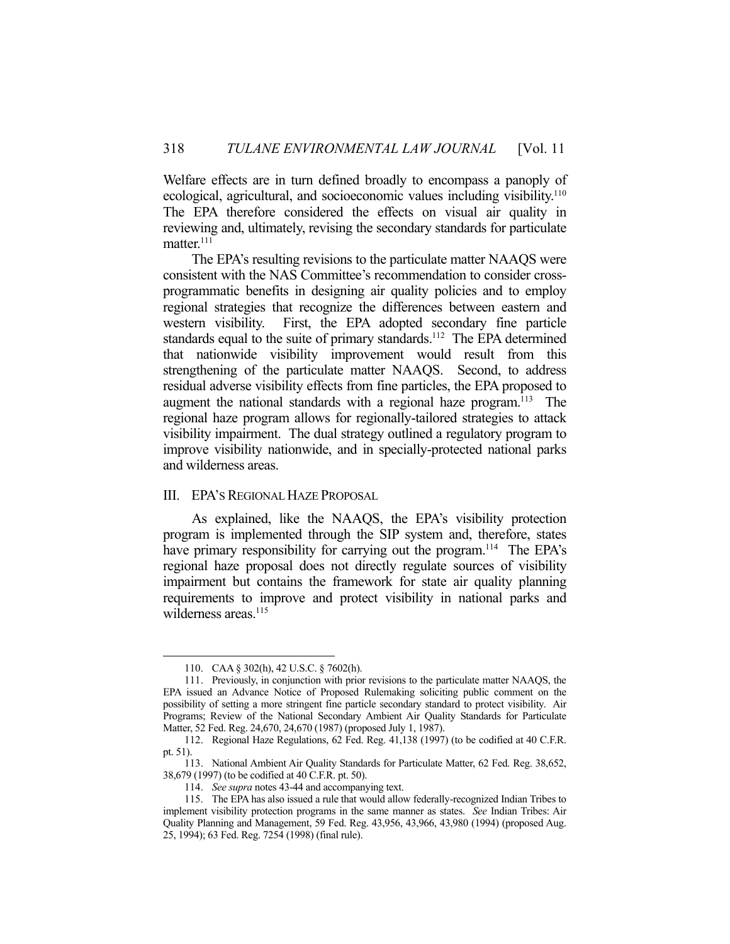Welfare effects are in turn defined broadly to encompass a panoply of ecological, agricultural, and socioeconomic values including visibility.<sup>110</sup> The EPA therefore considered the effects on visual air quality in reviewing and, ultimately, revising the secondary standards for particulate matter.<sup>111</sup>

 The EPA's resulting revisions to the particulate matter NAAQS were consistent with the NAS Committee's recommendation to consider crossprogrammatic benefits in designing air quality policies and to employ regional strategies that recognize the differences between eastern and western visibility. First, the EPA adopted secondary fine particle standards equal to the suite of primary standards.<sup>112</sup> The EPA determined that nationwide visibility improvement would result from this strengthening of the particulate matter NAAQS. Second, to address residual adverse visibility effects from fine particles, the EPA proposed to augment the national standards with a regional haze program.<sup>113</sup> The regional haze program allows for regionally-tailored strategies to attack visibility impairment. The dual strategy outlined a regulatory program to improve visibility nationwide, and in specially-protected national parks and wilderness areas.

#### III. EPA'S REGIONAL HAZE PROPOSAL

 As explained, like the NAAQS, the EPA's visibility protection program is implemented through the SIP system and, therefore, states have primary responsibility for carrying out the program.<sup>114</sup> The EPA's regional haze proposal does not directly regulate sources of visibility impairment but contains the framework for state air quality planning requirements to improve and protect visibility in national parks and wilderness areas.<sup>115</sup>

 <sup>110.</sup> CAA § 302(h), 42 U.S.C. § 7602(h).

 <sup>111.</sup> Previously, in conjunction with prior revisions to the particulate matter NAAQS, the EPA issued an Advance Notice of Proposed Rulemaking soliciting public comment on the possibility of setting a more stringent fine particle secondary standard to protect visibility. Air Programs; Review of the National Secondary Ambient Air Quality Standards for Particulate Matter, 52 Fed. Reg. 24,670, 24,670 (1987) (proposed July 1, 1987).

 <sup>112.</sup> Regional Haze Regulations, 62 Fed. Reg. 41,138 (1997) (to be codified at 40 C.F.R. pt. 51).

 <sup>113.</sup> National Ambient Air Quality Standards for Particulate Matter, 62 Fed. Reg. 38,652, 38,679 (1997) (to be codified at 40 C.F.R. pt. 50).

 <sup>114.</sup> *See supra* notes 43-44 and accompanying text.

 <sup>115.</sup> The EPA has also issued a rule that would allow federally-recognized Indian Tribes to implement visibility protection programs in the same manner as states. *See* Indian Tribes: Air Quality Planning and Management, 59 Fed. Reg. 43,956, 43,966, 43,980 (1994) (proposed Aug. 25, 1994); 63 Fed. Reg. 7254 (1998) (final rule).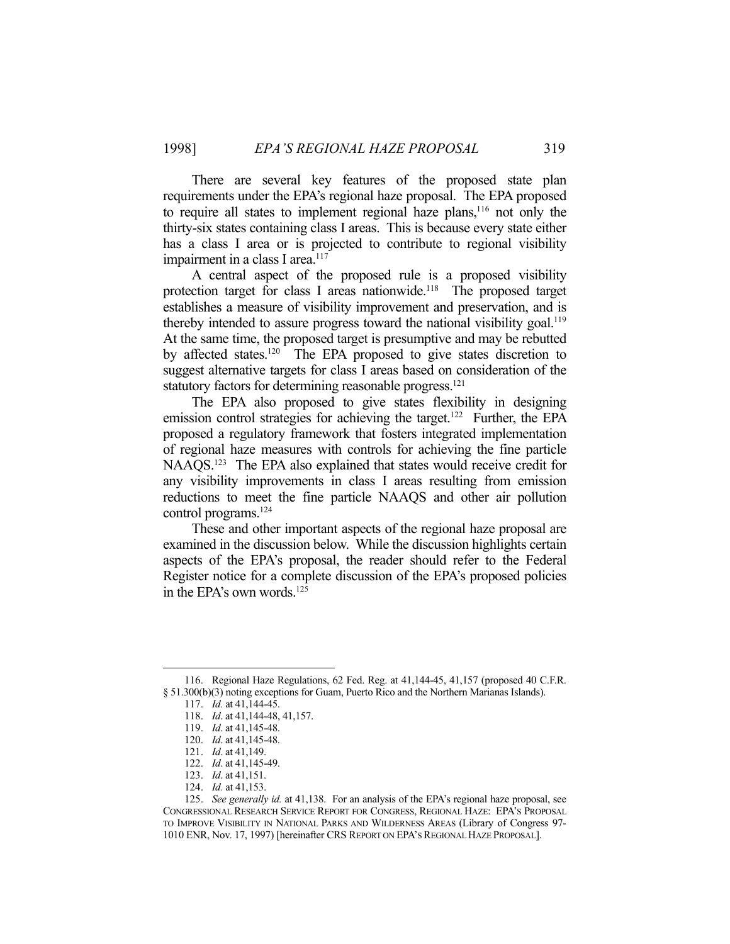There are several key features of the proposed state plan requirements under the EPA's regional haze proposal. The EPA proposed to require all states to implement regional haze plans,<sup>116</sup> not only the thirty-six states containing class I areas. This is because every state either has a class I area or is projected to contribute to regional visibility impairment in a class I area.<sup>117</sup>

 A central aspect of the proposed rule is a proposed visibility protection target for class I areas nationwide.<sup>118</sup> The proposed target establishes a measure of visibility improvement and preservation, and is thereby intended to assure progress toward the national visibility goal.<sup>119</sup> At the same time, the proposed target is presumptive and may be rebutted by affected states.120 The EPA proposed to give states discretion to suggest alternative targets for class I areas based on consideration of the statutory factors for determining reasonable progress.<sup>121</sup>

 The EPA also proposed to give states flexibility in designing emission control strategies for achieving the target.<sup>122</sup> Further, the EPA proposed a regulatory framework that fosters integrated implementation of regional haze measures with controls for achieving the fine particle NAAQS.<sup>123</sup> The EPA also explained that states would receive credit for any visibility improvements in class I areas resulting from emission reductions to meet the fine particle NAAQS and other air pollution control programs.124

 These and other important aspects of the regional haze proposal are examined in the discussion below. While the discussion highlights certain aspects of the EPA's proposal, the reader should refer to the Federal Register notice for a complete discussion of the EPA's proposed policies in the EPA's own words.125

 <sup>116.</sup> Regional Haze Regulations, 62 Fed. Reg. at 41,144-45, 41,157 (proposed 40 C.F.R. § 51.300(b)(3) noting exceptions for Guam, Puerto Rico and the Northern Marianas Islands).

 <sup>117.</sup> *Id.* at 41,144-45.

 <sup>118.</sup> *Id*. at 41,144-48, 41,157.

 <sup>119.</sup> *Id*. at 41,145-48.

 <sup>120.</sup> *Id*. at 41,145-48.

 <sup>121.</sup> *Id*. at 41,149.

 <sup>122.</sup> *Id*. at 41,145-49.

 <sup>123.</sup> *Id*. at 41,151.

 <sup>124.</sup> *Id.* at 41,153.

 <sup>125.</sup> *See generally id.* at 41,138. For an analysis of the EPA's regional haze proposal, see CONGRESSIONAL RESEARCH SERVICE REPORT FOR CONGRESS, REGIONAL HAZE: EPA'S PROPOSAL TO IMPROVE VISIBILITY IN NATIONAL PARKS AND WILDERNESS AREAS (Library of Congress 97- 1010 ENR, Nov. 17, 1997) [hereinafter CRS REPORT ON EPA'S REGIONAL HAZE PROPOSAL].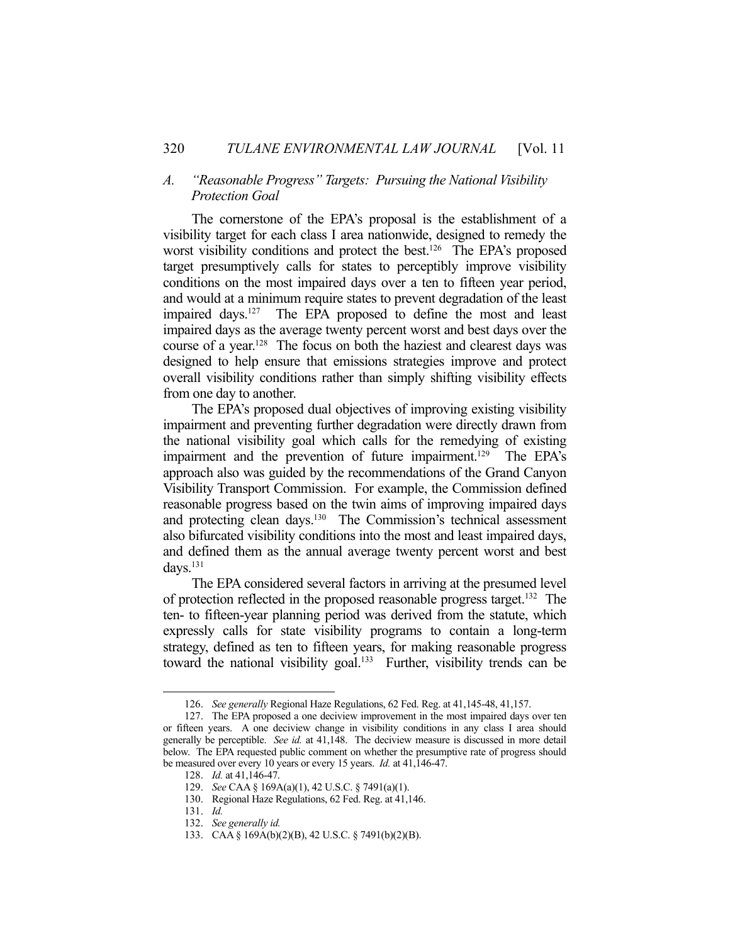#### *A. "Reasonable Progress" Targets: Pursuing the National Visibility Protection Goal*

 The cornerstone of the EPA's proposal is the establishment of a visibility target for each class I area nationwide, designed to remedy the worst visibility conditions and protect the best.<sup>126</sup> The EPA's proposed target presumptively calls for states to perceptibly improve visibility conditions on the most impaired days over a ten to fifteen year period, and would at a minimum require states to prevent degradation of the least impaired days.<sup>127</sup> The EPA proposed to define the most and least impaired days as the average twenty percent worst and best days over the course of a year.128 The focus on both the haziest and clearest days was designed to help ensure that emissions strategies improve and protect overall visibility conditions rather than simply shifting visibility effects from one day to another.

 The EPA's proposed dual objectives of improving existing visibility impairment and preventing further degradation were directly drawn from the national visibility goal which calls for the remedying of existing impairment and the prevention of future impairment.<sup>129</sup> The EPA's approach also was guided by the recommendations of the Grand Canyon Visibility Transport Commission. For example, the Commission defined reasonable progress based on the twin aims of improving impaired days and protecting clean days.<sup>130</sup> The Commission's technical assessment also bifurcated visibility conditions into the most and least impaired days, and defined them as the annual average twenty percent worst and best  $d$ avs. $^{131}$ 

 The EPA considered several factors in arriving at the presumed level of protection reflected in the proposed reasonable progress target.132 The ten- to fifteen-year planning period was derived from the statute, which expressly calls for state visibility programs to contain a long-term strategy, defined as ten to fifteen years, for making reasonable progress toward the national visibility goal.<sup>133</sup> Further, visibility trends can be

 <sup>126.</sup> *See generally* Regional Haze Regulations, 62 Fed. Reg. at 41,145-48, 41,157.

 <sup>127.</sup> The EPA proposed a one deciview improvement in the most impaired days over ten or fifteen years. A one deciview change in visibility conditions in any class I area should generally be perceptible. *See id.* at 41,148. The deciview measure is discussed in more detail below. The EPA requested public comment on whether the presumptive rate of progress should be measured over every 10 years or every 15 years. *Id.* at 41,146-47.

 <sup>128.</sup> *Id.* at 41,146-47.

 <sup>129.</sup> *See* CAA § 169A(a)(1), 42 U.S.C. § 7491(a)(1).

 <sup>130.</sup> Regional Haze Regulations, 62 Fed. Reg. at 41,146.

 <sup>131.</sup> *Id.*

 <sup>132.</sup> *See generally id.*

 <sup>133.</sup> CAA § 169A(b)(2)(B), 42 U.S.C. § 7491(b)(2)(B).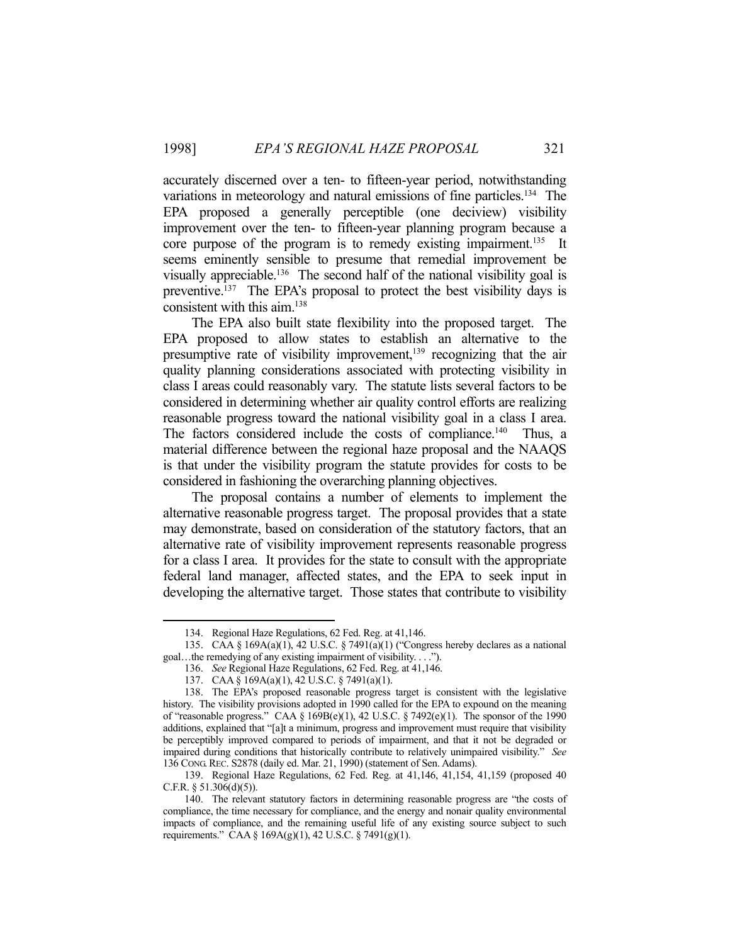accurately discerned over a ten- to fifteen-year period, notwithstanding variations in meteorology and natural emissions of fine particles.<sup>134</sup> The EPA proposed a generally perceptible (one deciview) visibility improvement over the ten- to fifteen-year planning program because a core purpose of the program is to remedy existing impairment.<sup>135</sup> It seems eminently sensible to presume that remedial improvement be visually appreciable.<sup>136</sup> The second half of the national visibility goal is preventive.137 The EPA's proposal to protect the best visibility days is consistent with this aim.138

 The EPA also built state flexibility into the proposed target. The EPA proposed to allow states to establish an alternative to the presumptive rate of visibility improvement,<sup>139</sup> recognizing that the air quality planning considerations associated with protecting visibility in class I areas could reasonably vary. The statute lists several factors to be considered in determining whether air quality control efforts are realizing reasonable progress toward the national visibility goal in a class I area. The factors considered include the costs of compliance.<sup>140</sup> Thus, a material difference between the regional haze proposal and the NAAQS is that under the visibility program the statute provides for costs to be considered in fashioning the overarching planning objectives.

 The proposal contains a number of elements to implement the alternative reasonable progress target. The proposal provides that a state may demonstrate, based on consideration of the statutory factors, that an alternative rate of visibility improvement represents reasonable progress for a class I area. It provides for the state to consult with the appropriate federal land manager, affected states, and the EPA to seek input in developing the alternative target. Those states that contribute to visibility

 <sup>134.</sup> Regional Haze Regulations, 62 Fed. Reg. at 41,146.

 <sup>135.</sup> CAA § 169A(a)(1), 42 U.S.C. § 7491(a)(1) ("Congress hereby declares as a national goal…the remedying of any existing impairment of visibility. . . .").

 <sup>136.</sup> *See* Regional Haze Regulations, 62 Fed. Reg. at 41,146.

 <sup>137.</sup> CAA § 169A(a)(1), 42 U.S.C. § 7491(a)(1).

 <sup>138.</sup> The EPA's proposed reasonable progress target is consistent with the legislative history. The visibility provisions adopted in 1990 called for the EPA to expound on the meaning of "reasonable progress." CAA § 169B(e)(1), 42 U.S.C. § 7492(e)(1). The sponsor of the 1990 additions, explained that "[a]t a minimum, progress and improvement must require that visibility be perceptibly improved compared to periods of impairment, and that it not be degraded or impaired during conditions that historically contribute to relatively unimpaired visibility." *See*  136 CONG.REC. S2878 (daily ed. Mar. 21, 1990) (statement of Sen. Adams).

 <sup>139.</sup> Regional Haze Regulations, 62 Fed. Reg. at 41,146, 41,154, 41,159 (proposed 40 C.F.R.  $\S 51.306(d)(5)$ ).

 <sup>140.</sup> The relevant statutory factors in determining reasonable progress are "the costs of compliance, the time necessary for compliance, and the energy and nonair quality environmental impacts of compliance, and the remaining useful life of any existing source subject to such requirements." CAA § 169A(g)(1), 42 U.S.C. § 7491(g)(1).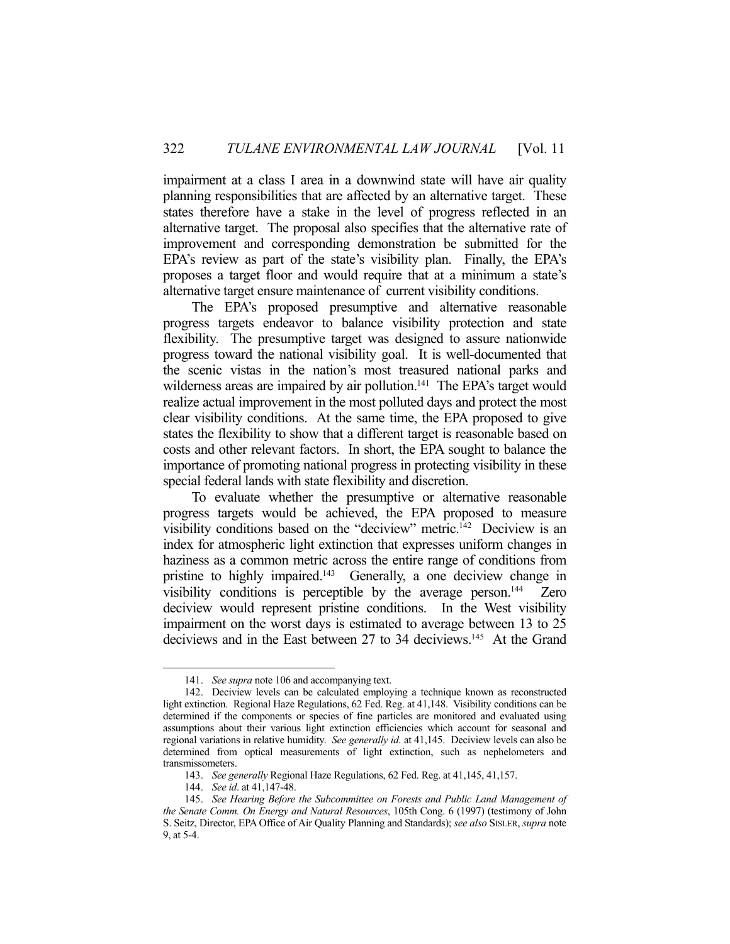impairment at a class I area in a downwind state will have air quality planning responsibilities that are affected by an alternative target. These states therefore have a stake in the level of progress reflected in an alternative target. The proposal also specifies that the alternative rate of improvement and corresponding demonstration be submitted for the EPA's review as part of the state's visibility plan. Finally, the EPA's proposes a target floor and would require that at a minimum a state's alternative target ensure maintenance of current visibility conditions.

 The EPA's proposed presumptive and alternative reasonable progress targets endeavor to balance visibility protection and state flexibility. The presumptive target was designed to assure nationwide progress toward the national visibility goal. It is well-documented that the scenic vistas in the nation's most treasured national parks and wilderness areas are impaired by air pollution.<sup>141</sup> The EPA's target would realize actual improvement in the most polluted days and protect the most clear visibility conditions. At the same time, the EPA proposed to give states the flexibility to show that a different target is reasonable based on costs and other relevant factors. In short, the EPA sought to balance the importance of promoting national progress in protecting visibility in these special federal lands with state flexibility and discretion.

 To evaluate whether the presumptive or alternative reasonable progress targets would be achieved, the EPA proposed to measure visibility conditions based on the "deciview" metric.<sup>142</sup> Deciview is an index for atmospheric light extinction that expresses uniform changes in haziness as a common metric across the entire range of conditions from pristine to highly impaired.<sup>143</sup> Generally, a one deciview change in visibility conditions is perceptible by the average person. $144$  Zero deciview would represent pristine conditions. In the West visibility impairment on the worst days is estimated to average between 13 to 25 deciviews and in the East between 27 to 34 deciviews.<sup>145</sup> At the Grand

 <sup>141.</sup> *See supra* note 106 and accompanying text.

 <sup>142.</sup> Deciview levels can be calculated employing a technique known as reconstructed light extinction. Regional Haze Regulations, 62 Fed. Reg. at 41,148. Visibility conditions can be determined if the components or species of fine particles are monitored and evaluated using assumptions about their various light extinction efficiencies which account for seasonal and regional variations in relative humidity. *See generally id.* at 41,145. Deciview levels can also be determined from optical measurements of light extinction, such as nephelometers and transmissometers.

 <sup>143.</sup> *See generally* Regional Haze Regulations, 62 Fed. Reg. at 41,145, 41,157.

 <sup>144.</sup> *See id*. at 41,147-48.

 <sup>145.</sup> *See Hearing Before the Subcommittee on Forests and Public Land Management of the Senate Comm. On Energy and Natural Resources*, 105th Cong. 6 (1997) (testimony of John S. Seitz, Director, EPA Office of Air Quality Planning and Standards); *see also* SISLER, *supra* note 9, at 5-4.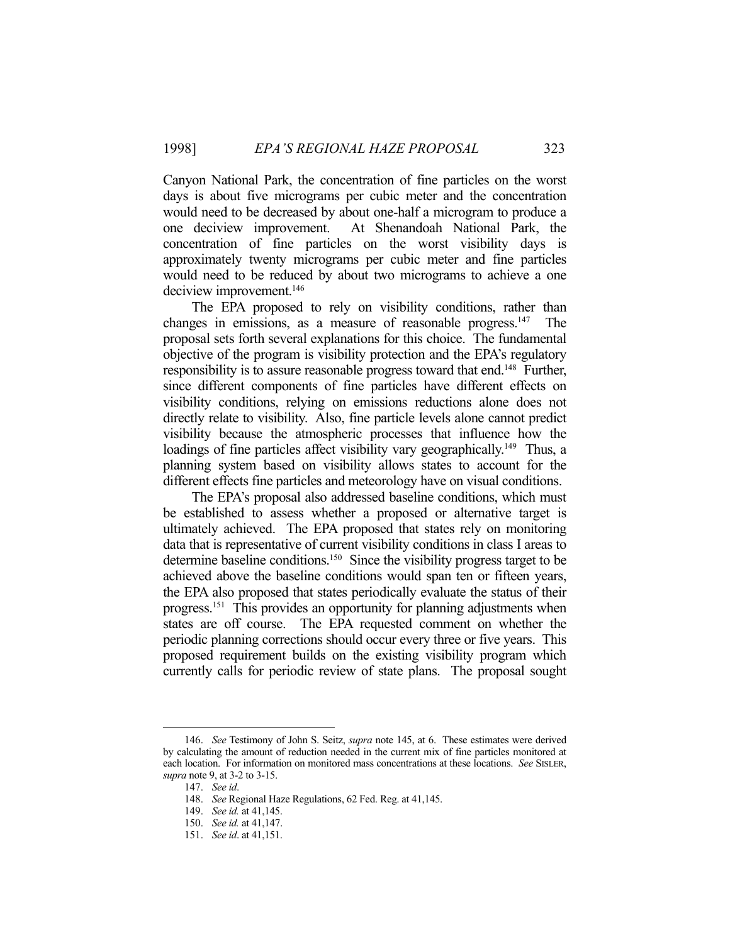Canyon National Park, the concentration of fine particles on the worst days is about five micrograms per cubic meter and the concentration would need to be decreased by about one-half a microgram to produce a one deciview improvement. At Shenandoah National Park, the concentration of fine particles on the worst visibility days is approximately twenty micrograms per cubic meter and fine particles would need to be reduced by about two micrograms to achieve a one deciview improvement.<sup>146</sup>

 The EPA proposed to rely on visibility conditions, rather than changes in emissions, as a measure of reasonable progress.147 The proposal sets forth several explanations for this choice. The fundamental objective of the program is visibility protection and the EPA's regulatory responsibility is to assure reasonable progress toward that end.<sup>148</sup> Further, since different components of fine particles have different effects on visibility conditions, relying on emissions reductions alone does not directly relate to visibility. Also, fine particle levels alone cannot predict visibility because the atmospheric processes that influence how the loadings of fine particles affect visibility vary geographically.<sup>149</sup> Thus, a planning system based on visibility allows states to account for the different effects fine particles and meteorology have on visual conditions.

 The EPA's proposal also addressed baseline conditions, which must be established to assess whether a proposed or alternative target is ultimately achieved. The EPA proposed that states rely on monitoring data that is representative of current visibility conditions in class I areas to determine baseline conditions.150 Since the visibility progress target to be achieved above the baseline conditions would span ten or fifteen years, the EPA also proposed that states periodically evaluate the status of their progress.151 This provides an opportunity for planning adjustments when states are off course. The EPA requested comment on whether the periodic planning corrections should occur every three or five years. This proposed requirement builds on the existing visibility program which currently calls for periodic review of state plans. The proposal sought

 <sup>146.</sup> *See* Testimony of John S. Seitz, *supra* note 145, at 6. These estimates were derived by calculating the amount of reduction needed in the current mix of fine particles monitored at each location. For information on monitored mass concentrations at these locations. *See* SISLER, *supra* note 9, at 3-2 to 3-15.

 <sup>147.</sup> *See id*.

 <sup>148.</sup> *See* Regional Haze Regulations, 62 Fed. Reg. at 41,145.

 <sup>149.</sup> *See id.* at 41,145.

 <sup>150.</sup> *See id.* at 41,147.

 <sup>151.</sup> *See id*. at 41,151.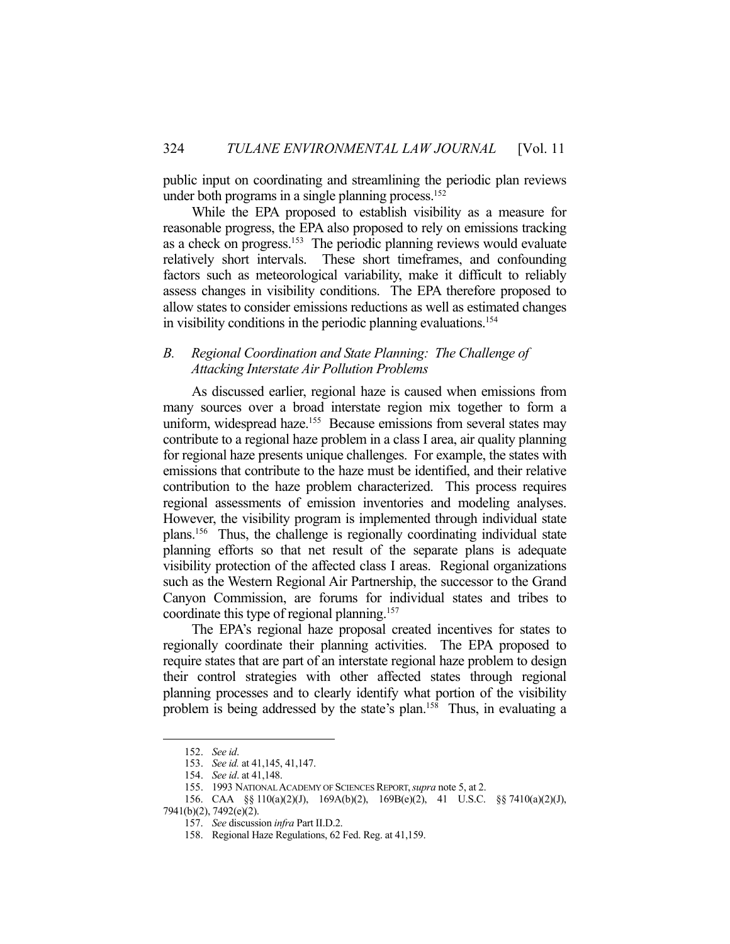public input on coordinating and streamlining the periodic plan reviews under both programs in a single planning process.<sup>152</sup>

 While the EPA proposed to establish visibility as a measure for reasonable progress, the EPA also proposed to rely on emissions tracking as a check on progress.153 The periodic planning reviews would evaluate relatively short intervals. These short timeframes, and confounding factors such as meteorological variability, make it difficult to reliably assess changes in visibility conditions. The EPA therefore proposed to allow states to consider emissions reductions as well as estimated changes in visibility conditions in the periodic planning evaluations.154

## *B. Regional Coordination and State Planning: The Challenge of Attacking Interstate Air Pollution Problems*

 As discussed earlier, regional haze is caused when emissions from many sources over a broad interstate region mix together to form a uniform, widespread haze.<sup>155</sup> Because emissions from several states may contribute to a regional haze problem in a class I area, air quality planning for regional haze presents unique challenges. For example, the states with emissions that contribute to the haze must be identified, and their relative contribution to the haze problem characterized. This process requires regional assessments of emission inventories and modeling analyses. However, the visibility program is implemented through individual state plans.156 Thus, the challenge is regionally coordinating individual state planning efforts so that net result of the separate plans is adequate visibility protection of the affected class I areas. Regional organizations such as the Western Regional Air Partnership, the successor to the Grand Canyon Commission, are forums for individual states and tribes to coordinate this type of regional planning.157

 The EPA's regional haze proposal created incentives for states to regionally coordinate their planning activities. The EPA proposed to require states that are part of an interstate regional haze problem to design their control strategies with other affected states through regional planning processes and to clearly identify what portion of the visibility problem is being addressed by the state's plan.<sup>158</sup> Thus, in evaluating a

 <sup>152.</sup> *See id*.

 <sup>153.</sup> *See id.* at 41,145, 41,147.

 <sup>154.</sup> *See id*. at 41,148.

 <sup>155. 1993</sup> NATIONAL ACADEMY OF SCIENCES REPORT,*supra* note 5, at 2.

 <sup>156.</sup> CAA §§ 110(a)(2)(J), 169A(b)(2), 169B(e)(2), 41 U.S.C. §§ 7410(a)(2)(J),

<sup>7941(</sup>b)(2), 7492(e)(2).

 <sup>157.</sup> *See* discussion *infra* Part II.D.2.

 <sup>158.</sup> Regional Haze Regulations, 62 Fed. Reg. at 41,159.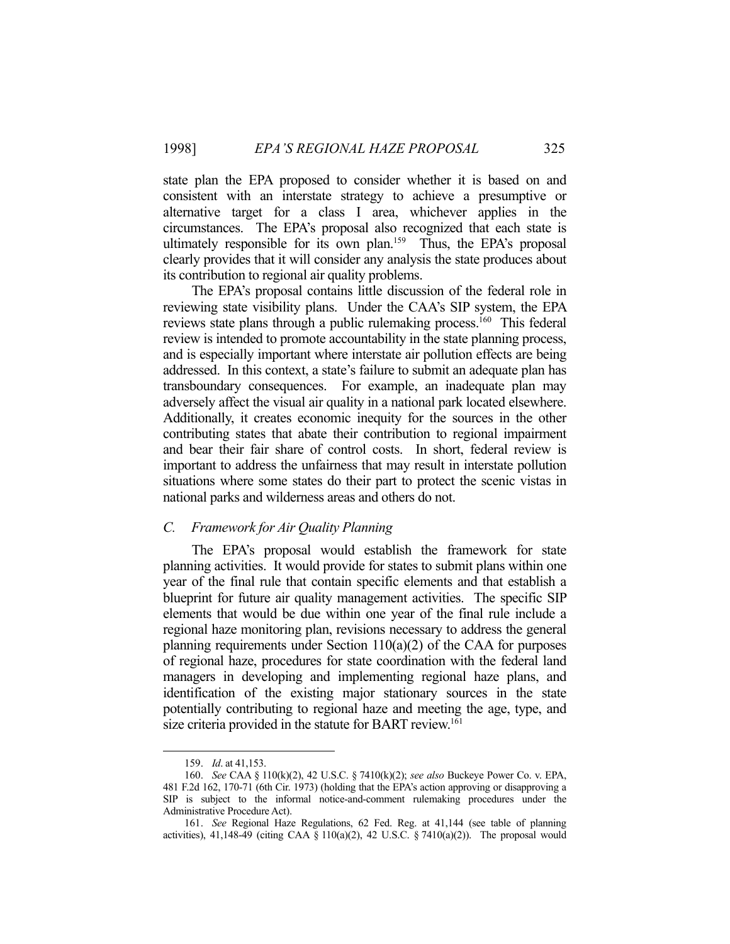state plan the EPA proposed to consider whether it is based on and consistent with an interstate strategy to achieve a presumptive or alternative target for a class I area, whichever applies in the circumstances. The EPA's proposal also recognized that each state is ultimately responsible for its own plan.159 Thus, the EPA's proposal clearly provides that it will consider any analysis the state produces about its contribution to regional air quality problems.

 The EPA's proposal contains little discussion of the federal role in reviewing state visibility plans. Under the CAA's SIP system, the EPA reviews state plans through a public rulemaking process.160 This federal review is intended to promote accountability in the state planning process, and is especially important where interstate air pollution effects are being addressed. In this context, a state's failure to submit an adequate plan has transboundary consequences. For example, an inadequate plan may adversely affect the visual air quality in a national park located elsewhere. Additionally, it creates economic inequity for the sources in the other contributing states that abate their contribution to regional impairment and bear their fair share of control costs. In short, federal review is important to address the unfairness that may result in interstate pollution situations where some states do their part to protect the scenic vistas in national parks and wilderness areas and others do not.

#### *C. Framework for Air Quality Planning*

 The EPA's proposal would establish the framework for state planning activities. It would provide for states to submit plans within one year of the final rule that contain specific elements and that establish a blueprint for future air quality management activities. The specific SIP elements that would be due within one year of the final rule include a regional haze monitoring plan, revisions necessary to address the general planning requirements under Section  $110(a)(2)$  of the CAA for purposes of regional haze, procedures for state coordination with the federal land managers in developing and implementing regional haze plans, and identification of the existing major stationary sources in the state potentially contributing to regional haze and meeting the age, type, and size criteria provided in the statute for BART review.<sup>161</sup>

 <sup>159.</sup> *Id*. at 41,153.

 <sup>160.</sup> *See* CAA § 110(k)(2), 42 U.S.C. § 7410(k)(2); *see also* Buckeye Power Co. v. EPA, 481 F.2d 162, 170-71 (6th Cir. 1973) (holding that the EPA's action approving or disapproving a SIP is subject to the informal notice-and-comment rulemaking procedures under the Administrative Procedure Act).

 <sup>161.</sup> *See* Regional Haze Regulations, 62 Fed. Reg. at 41,144 (see table of planning activities), 41,148-49 (citing CAA § 110(a)(2), 42 U.S.C. § 7410(a)(2)). The proposal would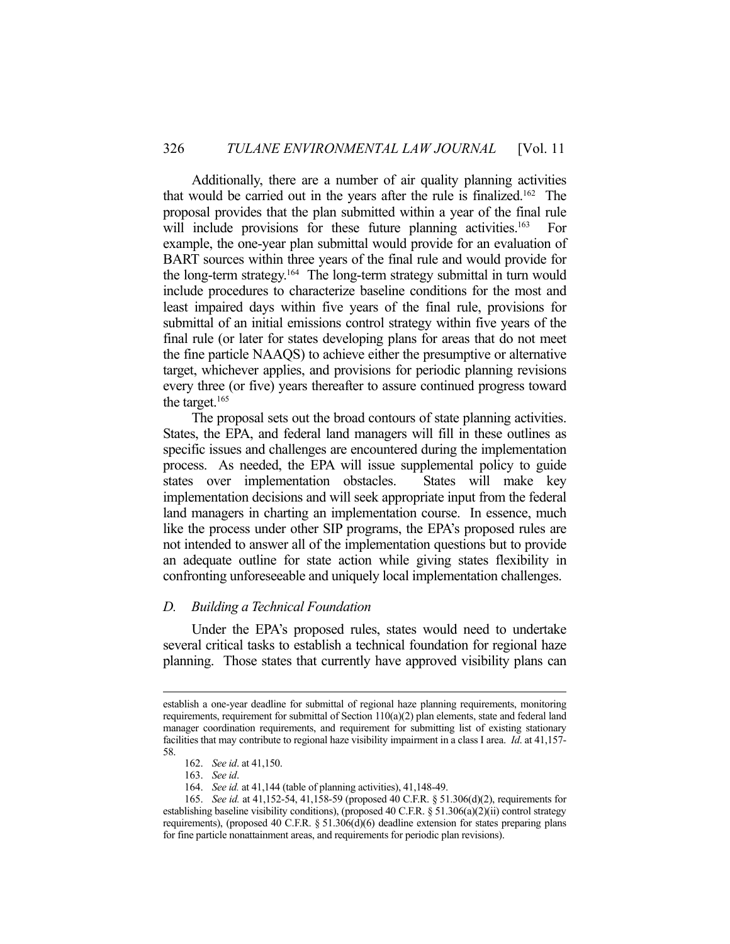Additionally, there are a number of air quality planning activities that would be carried out in the years after the rule is finalized.<sup>162</sup> The proposal provides that the plan submitted within a year of the final rule will include provisions for these future planning activities.<sup>163</sup> For example, the one-year plan submittal would provide for an evaluation of BART sources within three years of the final rule and would provide for the long-term strategy.164 The long-term strategy submittal in turn would include procedures to characterize baseline conditions for the most and least impaired days within five years of the final rule, provisions for submittal of an initial emissions control strategy within five years of the final rule (or later for states developing plans for areas that do not meet the fine particle NAAQS) to achieve either the presumptive or alternative target, whichever applies, and provisions for periodic planning revisions every three (or five) years thereafter to assure continued progress toward the target.165

 The proposal sets out the broad contours of state planning activities. States, the EPA, and federal land managers will fill in these outlines as specific issues and challenges are encountered during the implementation process. As needed, the EPA will issue supplemental policy to guide states over implementation obstacles. States will make key implementation decisions and will seek appropriate input from the federal land managers in charting an implementation course. In essence, much like the process under other SIP programs, the EPA's proposed rules are not intended to answer all of the implementation questions but to provide an adequate outline for state action while giving states flexibility in confronting unforeseeable and uniquely local implementation challenges.

#### *D. Building a Technical Foundation*

 Under the EPA's proposed rules, states would need to undertake several critical tasks to establish a technical foundation for regional haze planning. Those states that currently have approved visibility plans can

establish a one-year deadline for submittal of regional haze planning requirements, monitoring requirements, requirement for submittal of Section  $110(a)(2)$  plan elements, state and federal land manager coordination requirements, and requirement for submitting list of existing stationary facilities that may contribute to regional haze visibility impairment in a class I area. *Id*. at 41,157- 58.

 <sup>162.</sup> *See id*. at 41,150.

 <sup>163.</sup> *See id*.

 <sup>164.</sup> *See id.* at 41,144 (table of planning activities), 41,148-49.

 <sup>165.</sup> *See id.* at 41,152-54, 41,158-59 (proposed 40 C.F.R. § 51.306(d)(2), requirements for establishing baseline visibility conditions), (proposed 40 C.F.R. § 51.306(a)(2)(ii) control strategy requirements), (proposed 40 C.F.R. § 51.306(d)(6) deadline extension for states preparing plans for fine particle nonattainment areas, and requirements for periodic plan revisions).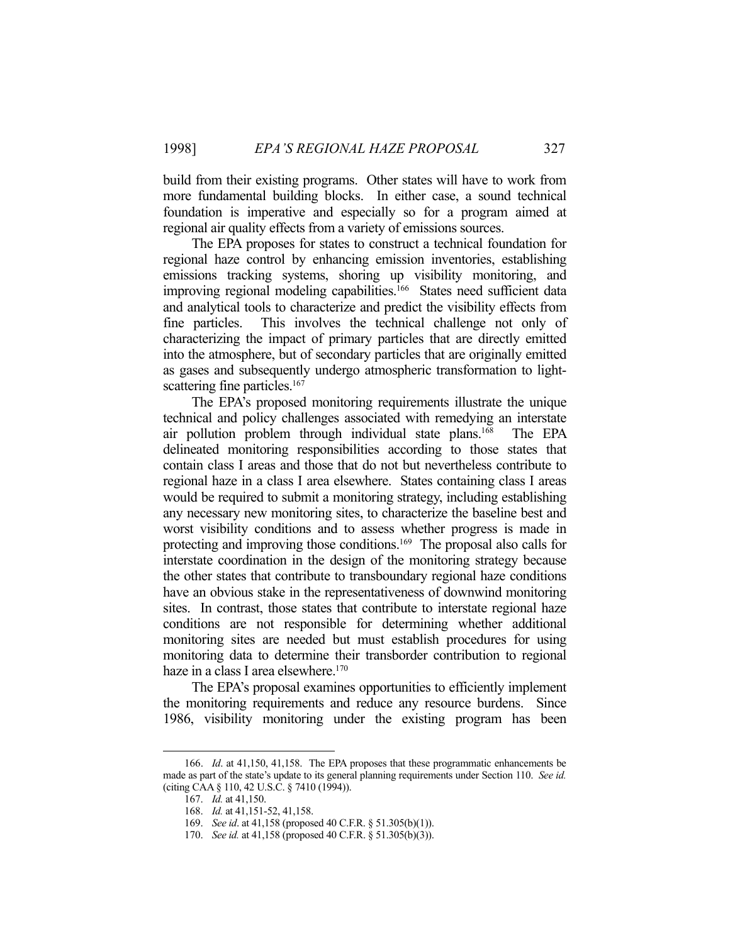build from their existing programs. Other states will have to work from more fundamental building blocks. In either case, a sound technical foundation is imperative and especially so for a program aimed at regional air quality effects from a variety of emissions sources.

 The EPA proposes for states to construct a technical foundation for regional haze control by enhancing emission inventories, establishing emissions tracking systems, shoring up visibility monitoring, and improving regional modeling capabilities.<sup>166</sup> States need sufficient data and analytical tools to characterize and predict the visibility effects from fine particles. This involves the technical challenge not only of characterizing the impact of primary particles that are directly emitted into the atmosphere, but of secondary particles that are originally emitted as gases and subsequently undergo atmospheric transformation to lightscattering fine particles.<sup>167</sup>

 The EPA's proposed monitoring requirements illustrate the unique technical and policy challenges associated with remedying an interstate air pollution problem through individual state plans.168 The EPA delineated monitoring responsibilities according to those states that contain class I areas and those that do not but nevertheless contribute to regional haze in a class I area elsewhere. States containing class I areas would be required to submit a monitoring strategy, including establishing any necessary new monitoring sites, to characterize the baseline best and worst visibility conditions and to assess whether progress is made in protecting and improving those conditions.<sup>169</sup> The proposal also calls for interstate coordination in the design of the monitoring strategy because the other states that contribute to transboundary regional haze conditions have an obvious stake in the representativeness of downwind monitoring sites. In contrast, those states that contribute to interstate regional haze conditions are not responsible for determining whether additional monitoring sites are needed but must establish procedures for using monitoring data to determine their transborder contribution to regional haze in a class I area elsewhere.<sup>170</sup>

 The EPA's proposal examines opportunities to efficiently implement the monitoring requirements and reduce any resource burdens. Since 1986, visibility monitoring under the existing program has been

 <sup>166.</sup> *Id*. at 41,150, 41,158. The EPA proposes that these programmatic enhancements be made as part of the state's update to its general planning requirements under Section 110. *See id.* (citing CAA § 110, 42 U.S.C. § 7410 (1994)).

 <sup>167.</sup> *Id.* at 41,150.

 <sup>168.</sup> *Id.* at 41,151-52, 41,158.

 <sup>169.</sup> *See id*. at 41,158 (proposed 40 C.F.R. § 51.305(b)(1)).

 <sup>170.</sup> *See id.* at 41,158 (proposed 40 C.F.R. § 51.305(b)(3)).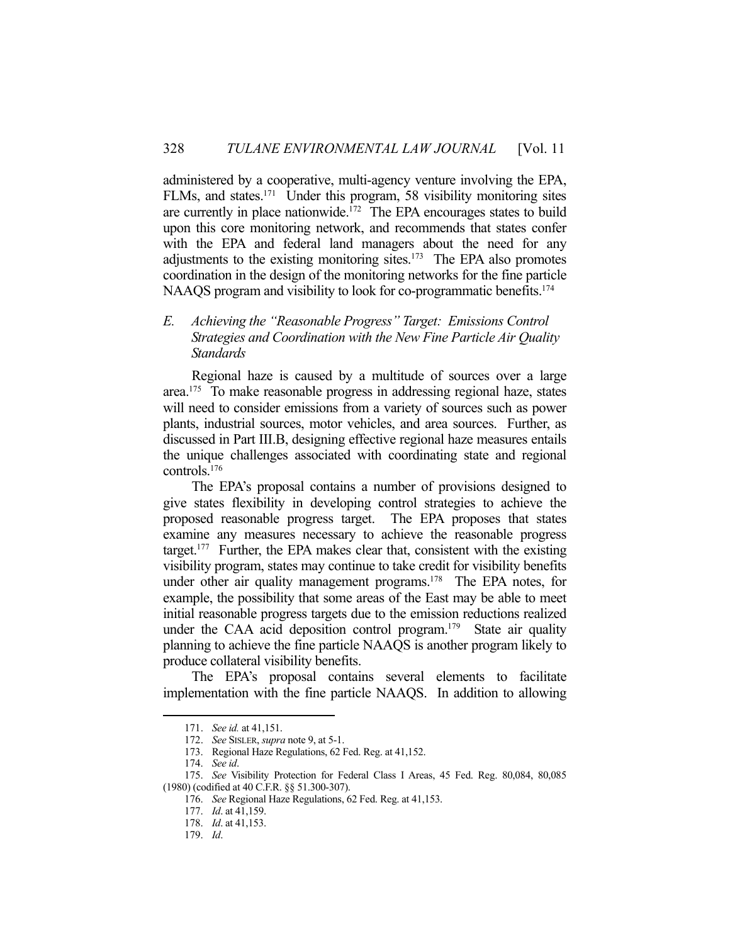administered by a cooperative, multi-agency venture involving the EPA, FLMs, and states.171 Under this program, 58 visibility monitoring sites are currently in place nationwide.172 The EPA encourages states to build upon this core monitoring network, and recommends that states confer with the EPA and federal land managers about the need for any adjustments to the existing monitoring sites. $173$  The EPA also promotes coordination in the design of the monitoring networks for the fine particle NAAQS program and visibility to look for co-programmatic benefits.<sup>174</sup>

## *E. Achieving the "Reasonable Progress" Target: Emissions Control Strategies and Coordination with the New Fine Particle Air Quality Standards*

 Regional haze is caused by a multitude of sources over a large area.175 To make reasonable progress in addressing regional haze, states will need to consider emissions from a variety of sources such as power plants, industrial sources, motor vehicles, and area sources. Further, as discussed in Part III.B, designing effective regional haze measures entails the unique challenges associated with coordinating state and regional controls.176

 The EPA's proposal contains a number of provisions designed to give states flexibility in developing control strategies to achieve the proposed reasonable progress target. The EPA proposes that states examine any measures necessary to achieve the reasonable progress target.<sup>177</sup> Further, the EPA makes clear that, consistent with the existing visibility program, states may continue to take credit for visibility benefits under other air quality management programs.<sup>178</sup> The EPA notes, for example, the possibility that some areas of the East may be able to meet initial reasonable progress targets due to the emission reductions realized under the CAA acid deposition control program.<sup>179</sup> State air quality planning to achieve the fine particle NAAQS is another program likely to produce collateral visibility benefits.

 The EPA's proposal contains several elements to facilitate implementation with the fine particle NAAQS. In addition to allowing

 <sup>171.</sup> *See id.* at 41,151.

 <sup>172.</sup> *See* SISLER, *supra* note 9, at 5-1.

 <sup>173.</sup> Regional Haze Regulations, 62 Fed. Reg. at 41,152.

 <sup>174.</sup> *See id*.

 <sup>175.</sup> *See* Visibility Protection for Federal Class I Areas, 45 Fed. Reg. 80,084, 80,085 (1980) (codified at 40 C.F.R. §§ 51.300-307).

 <sup>176.</sup> *See* Regional Haze Regulations, 62 Fed. Reg. at 41,153.

 <sup>177.</sup> *Id*. at 41,159.

 <sup>178.</sup> *Id*. at 41,153.

 <sup>179.</sup> *Id*.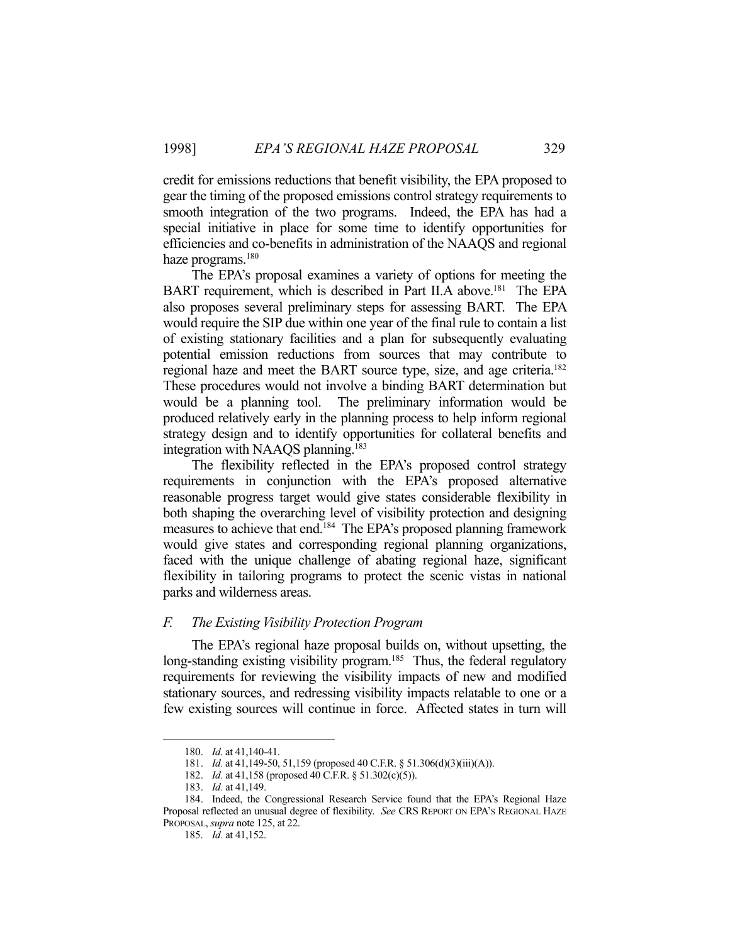credit for emissions reductions that benefit visibility, the EPA proposed to gear the timing of the proposed emissions control strategy requirements to smooth integration of the two programs. Indeed, the EPA has had a special initiative in place for some time to identify opportunities for efficiencies and co-benefits in administration of the NAAQS and regional haze programs.<sup>180</sup>

 The EPA's proposal examines a variety of options for meeting the BART requirement, which is described in Part II.A above.<sup>181</sup> The EPA also proposes several preliminary steps for assessing BART. The EPA would require the SIP due within one year of the final rule to contain a list of existing stationary facilities and a plan for subsequently evaluating potential emission reductions from sources that may contribute to regional haze and meet the BART source type, size, and age criteria.182 These procedures would not involve a binding BART determination but would be a planning tool. The preliminary information would be produced relatively early in the planning process to help inform regional strategy design and to identify opportunities for collateral benefits and integration with NAAQS planning.<sup>183</sup>

 The flexibility reflected in the EPA's proposed control strategy requirements in conjunction with the EPA's proposed alternative reasonable progress target would give states considerable flexibility in both shaping the overarching level of visibility protection and designing measures to achieve that end.184 The EPA's proposed planning framework would give states and corresponding regional planning organizations, faced with the unique challenge of abating regional haze, significant flexibility in tailoring programs to protect the scenic vistas in national parks and wilderness areas.

#### *F. The Existing Visibility Protection Program*

 The EPA's regional haze proposal builds on, without upsetting, the long-standing existing visibility program.<sup>185</sup> Thus, the federal regulatory requirements for reviewing the visibility impacts of new and modified stationary sources, and redressing visibility impacts relatable to one or a few existing sources will continue in force. Affected states in turn will

 <sup>180.</sup> *Id*. at 41,140-41.

 <sup>181.</sup> *Id.* at 41,149-50, 51,159 (proposed 40 C.F.R. § 51.306(d)(3)(iii)(A)).

 <sup>182.</sup> *Id.* at 41,158 (proposed 40 C.F.R. § 51.302(c)(5)).

 <sup>183.</sup> *Id.* at 41,149.

 <sup>184.</sup> Indeed, the Congressional Research Service found that the EPA's Regional Haze Proposal reflected an unusual degree of flexibility. *See* CRS REPORT ON EPA'S REGIONAL HAZE PROPOSAL, *supra* note 125, at 22.

 <sup>185.</sup> *Id.* at 41,152.